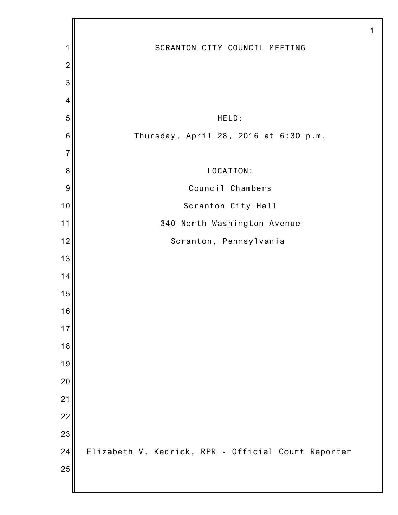| 1                       | SCRANTON CITY COUNCIL MEETING                       |
|-------------------------|-----------------------------------------------------|
| $\overline{c}$          |                                                     |
| 3                       |                                                     |
| $\overline{\mathbf{4}}$ |                                                     |
| 5                       | HELD:                                               |
| $\,$ 6 $\,$             | Thursday, April 28, 2016 at 6:30 p.m.               |
| $\overline{7}$          |                                                     |
| $\boldsymbol{8}$        | LOCATION:                                           |
| 9                       | Council Chambers                                    |
| 10                      | Scranton City Hall                                  |
| 11                      | 340 North Washington Avenue                         |
| 12                      | Scranton, Pennsylvania                              |
| 13                      |                                                     |
| 14                      |                                                     |
| 15                      |                                                     |
| 16                      |                                                     |
| 17                      |                                                     |
| 18                      |                                                     |
| 19                      |                                                     |
| 20<br>21                |                                                     |
| 22                      |                                                     |
| 23                      |                                                     |
| 24                      | Elizabeth V. Kedrick, RPR - Official Court Reporter |
| 25                      |                                                     |
|                         |                                                     |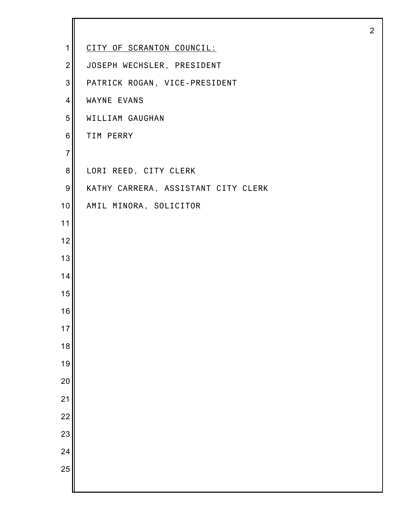| 1              | CITY OF SCRANTON COUNCIL:           |
|----------------|-------------------------------------|
| $\overline{2}$ | JOSEPH WECHSLER, PRESIDENT          |
| 3              | PATRICK ROGAN, VICE-PRESIDENT       |
| $\overline{4}$ | WAYNE EVANS                         |
| 5              | WILLIAM GAUGHAN                     |
| $\,6$          | TIM PERRY                           |
| $\overline{7}$ |                                     |
| 8              | LORI REED, CITY CLERK               |
| 9              | KATHY CARRERA, ASSISTANT CITY CLERK |
| 10             | AMIL MINORA, SOLICITOR              |
| 11             |                                     |
| 12             |                                     |
| 13             |                                     |
| 14             |                                     |
| 15             |                                     |
| 16             |                                     |
| 17             |                                     |
| 18             |                                     |
| 19             |                                     |
| 20             |                                     |
| 21             |                                     |
| 22             |                                     |
| 23             |                                     |
| 24             |                                     |
| 25             |                                     |
|                |                                     |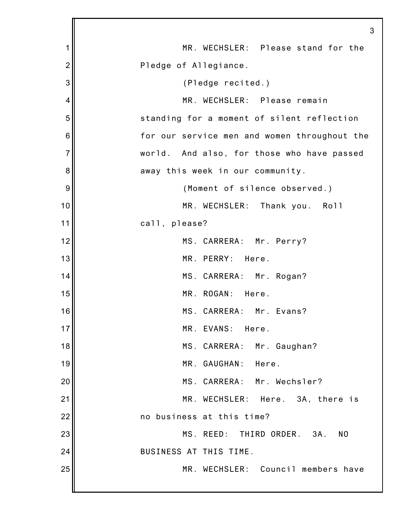|                | 3                                                  |
|----------------|----------------------------------------------------|
| 1              | MR. WECHSLER: Please stand for the                 |
| $\overline{2}$ | Pledge of Allegiance.                              |
| 3              | (Pledge recited.)                                  |
| 4              | MR. WECHSLER: Please remain                        |
| 5              | standing for a moment of silent reflection         |
| 6              | for our service men and women throughout the       |
| $\overline{7}$ | world. And also, for those who have passed         |
| 8              | away this week in our community.                   |
| 9              | (Moment of silence observed.)                      |
| 10             | MR. WECHSLER: Thank you. Roll                      |
| 11             | call, please?                                      |
| 12             | MS. CARRERA: Mr. Perry?                            |
| 13             | MR. PERRY: Here.                                   |
| 14             | MS. CARRERA: Mr. Rogan?                            |
| 15             | MR. ROGAN:<br>Here.                                |
| 16             | MS. CARRERA: Mr. Evans?                            |
| 17             | MR. EVANS:<br>Here.                                |
| 18             | MS. CARRERA: Mr. Gaughan?                          |
| 19             | MR. GAUGHAN:<br>Here.                              |
| 20             | MS. CARRERA: Mr. Wechsler?                         |
| 21             | MR. WECHSLER:<br>Here. 3A, there is                |
| 22             | no business at this time?                          |
| 23             | MS. REED: THIRD ORDER.<br>N <sub>0</sub><br>$3A$ . |
| 24             | BUSINESS AT THIS TIME.                             |
| 25             | MR. WECHSLER: Council members have                 |
|                |                                                    |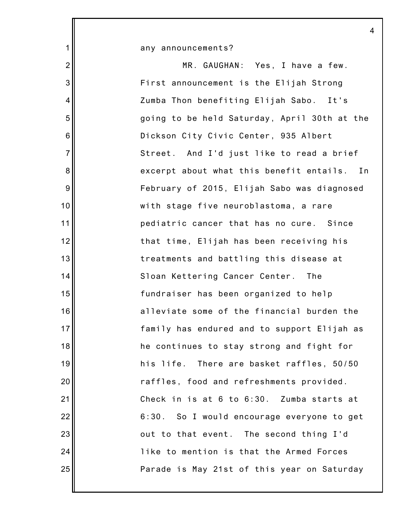|                 | 4                                            |
|-----------------|----------------------------------------------|
| $\mathbf{1}$    | any announcements?                           |
| $\overline{2}$  | MR. GAUGHAN: Yes, I have a few.              |
| 3               | First announcement is the Elijah Strong      |
| 4               | Zumba Thon benefiting Elijah Sabo. It's      |
| 5               | going to be held Saturday, April 30th at the |
| $6\phantom{1}6$ | Dickson City Civic Center, 935 Albert        |
| $\overline{7}$  | Street. And I'd just like to read a brief    |
| 8               | excerpt about what this benefit entails. In  |
| $9\,$           | February of 2015, Elijah Sabo was diagnosed  |
| 10              | with stage five neuroblastoma, a rare        |
| 11              | pediatric cancer that has no cure. Since     |
| 12              | that time, Elijah has been receiving his     |
| 13              | treatments and battling this disease at      |
| 14              | Sloan Kettering Cancer Center. The           |
| 15              | fundraiser has been organized to help        |
| 16              | alleviate some of the financial burden the   |
| 17              | family has endured and to support Elijah as  |
| 18              | he continues to stay strong and fight for    |
| 19              | his life. There are basket raffles, 50/50    |
| 20              | raffles, food and refreshments provided.     |
| 21              | Check in is at 6 to 6:30. Zumba starts at    |
| 22              | 6:30. So I would encourage everyone to get   |
| 23              | out to that event. The second thing I'd      |
| 24              | like to mention is that the Armed Forces     |
| 25              | Parade is May 21st of this year on Saturday  |
|                 |                                              |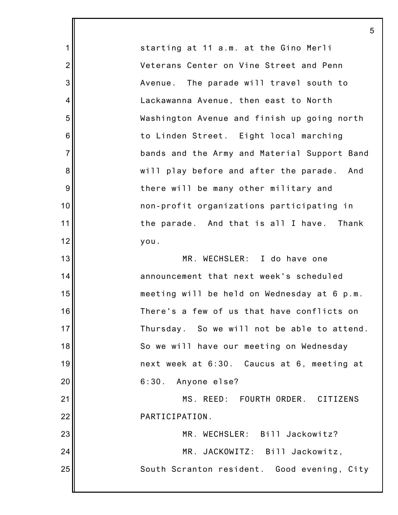starting at 11 a.m. at the Gino Merli Veterans Center on Vine Street and Penn Avenue. The parade will travel south to Lackawanna Avenue, then east to North Washington Avenue and finish up going north to Linden Street. Eight local marching bands and the Army and Material Support Band will play before and after the parade. And there will be many other military and non-profit organizations participating in the parade. And that is all I have. Thank you.

1

2

3

4

5

6

7

8

9

10

11

12

13

14

15

16

17

18

19

20

21

22

MR. WECHSLER: I do have one announcement that next week's scheduled meeting will be held on Wednesday at 6 p.m. There's a few of us that have conflicts on Thursday. So we will not be able to attend. So we will have our meeting on Wednesday next week at 6:30. Caucus at 6, meeting at 6:30. Anyone else? MS. REED: FOURTH ORDER. CITIZENS PARTICIPATION. MR. WECHSLER: Bill Jackowitz?

23 24 25 MR. JACKOWITZ: Bill Jackowitz, South Scranton resident. Good evening, City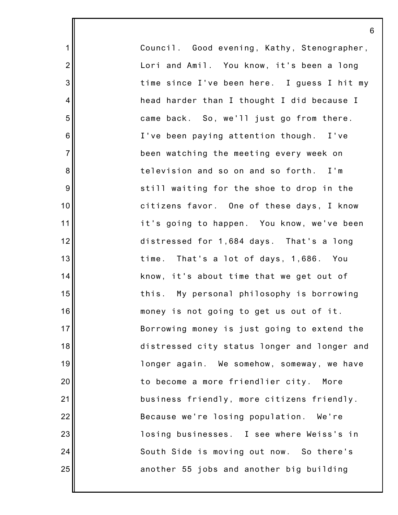Council. Good evening, Kathy, Stenographer, Lori and Amil. You know, it's been a long time since I've been here. I guess I hit my head harder than I thought I did because I came back. So, we'll just go from there. I've been paying attention though. I've been watching the meeting every week on television and so on and so forth. I'm still waiting for the shoe to drop in the citizens favor. One of these days, I know it's going to happen. You know, we've been distressed for 1,684 days. That's a long time. That's a lot of days, 1,686. You know, it's about time that we get out of this. My personal philosophy is borrowing money is not going to get us out of it. Borrowing money is just going to extend the distressed city status longer and longer and longer again. We somehow, someway, we have to become a more friendlier city. More business friendly, more citizens friendly. Because we're losing population. We're losing businesses. I see where Weiss's in South Side is moving out now. So there's another 55 jobs and another big building

6

1

2

3

4

5

6

7

8

9

10

11

12

13

14

15

16

17

18

19

20

21

22

23

24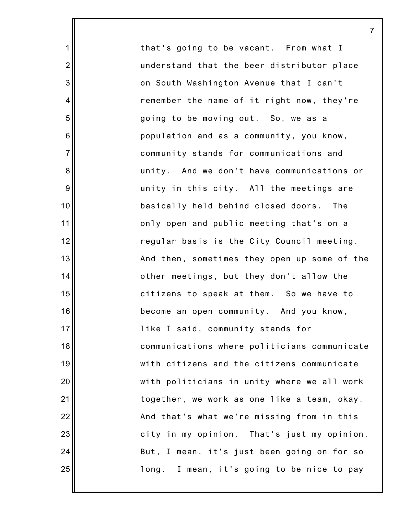that's going to be vacant. From what I understand that the beer distributor place on South Washington Avenue that I can't remember the name of it right now, they're going to be moving out. So, we as a population and as a community, you know, community stands for communications and unity. And we don't have communications or unity in this city. All the meetings are basically held behind closed doors. The only open and public meeting that's on a regular basis is the City Council meeting. And then, sometimes they open up some of the other meetings, but they don't allow the citizens to speak at them. So we have to become an open community. And you know, like I said, community stands for communications where politicians communicate with citizens and the citizens communicate with politicians in unity where we all work together, we work as one like a team, okay. And that's what we're missing from in this city in my opinion. That's just my opinion. But, I mean, it's just been going on for so long. I mean, it's going to be nice to pay

7

1

2

3

4

5

6

7

8

9

10

11

12

13

14

15

16

17

18

19

20

21

22

23

24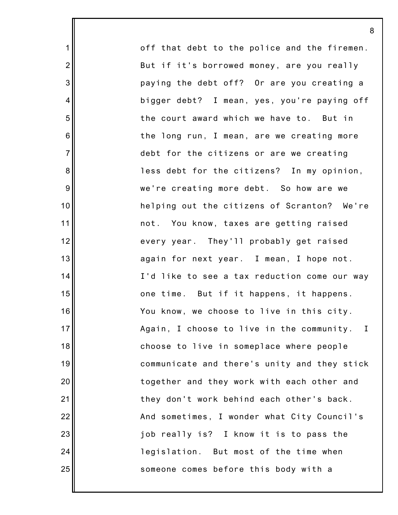off that debt to the police and the firemen. But if it's borrowed money, are you really paying the debt off? Or are you creating a bigger debt? I mean, yes, you're paying off the court award which we have to. But in the long run, I mean, are we creating more debt for the citizens or are we creating less debt for the citizens? In my opinion, we're creating more debt. So how are we helping out the citizens of Scranton? We're not. You know, taxes are getting raised every year. They'll probably get raised again for next year. I mean, I hope not. I'd like to see a tax reduction come our way one time. But if it happens, it happens. You know, we choose to live in this city. Again, I choose to live in the community. I choose to live in someplace where people communicate and there's unity and they stick together and they work with each other and they don't work behind each other's back. And sometimes, I wonder what City Council's job really is? I know it is to pass the legislation. But most of the time when someone comes before this body with a

8

1

2

3

4

5

6

7

8

9

10

11

12

13

14

15

16

17

18

19

20

21

22

23

24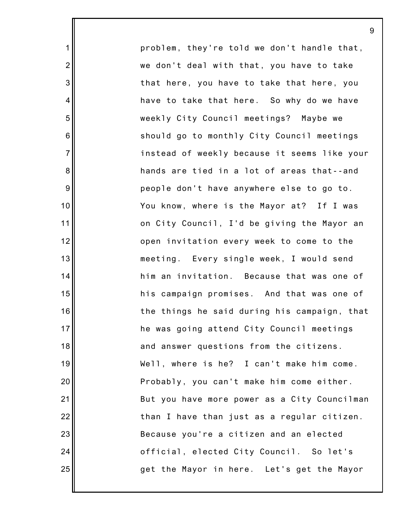problem, they're told we don't handle that, we don't deal with that, you have to take that here, you have to take that here, you have to take that here. So why do we have weekly City Council meetings? Maybe we should go to monthly City Council meetings instead of weekly because it seems like your hands are tied in a lot of areas that--and people don't have anywhere else to go to. You know, where is the Mayor at? If I was on City Council, I'd be giving the Mayor an open invitation every week to come to the meeting. Every single week, I would send him an invitation. Because that was one of his campaign promises. And that was one of the things he said during his campaign, that he was going attend City Council meetings and answer questions from the citizens. Well, where is he? I can't make him come. Probably, you can't make him come either. But you have more power as a City Councilman than I have than just as a regular citizen. Because you're a citizen and an elected official, elected City Council. So let's get the Mayor in here. Let's get the Mayor

9

1

2

3

4

5

6

7

8

9

10

11

12

13

14

15

16

17

18

19

20

21

22

23

24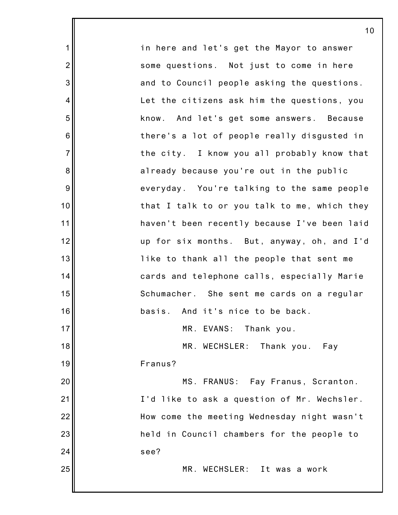1 2 3 4 5 6 7 8 9 10 11 12 13 14 15 16 17 18 19 20 21 22 23 24 25 in here and let's get the Mayor to answer some questions. Not just to come in here and to Council people asking the questions. Let the citizens ask him the questions, you know. And let's get some answers. Because there's a lot of people really disgusted in the city. I know you all probably know that already because you're out in the public everyday. You're talking to the same people that I talk to or you talk to me, which they haven't been recently because I've been laid up for six months. But, anyway, oh, and I'd like to thank all the people that sent me cards and telephone calls, especially Marie Schumacher. She sent me cards on a regular basis. And it's nice to be back. MR. EVANS: Thank you. MR. WECHSLER: Thank you. Fay Franus? MS. FRANUS: Fay Franus, Scranton. I'd like to ask a question of Mr. Wechsler. How come the meeting Wednesday night wasn't held in Council chambers for the people to see? MR. WECHSLER: It was a work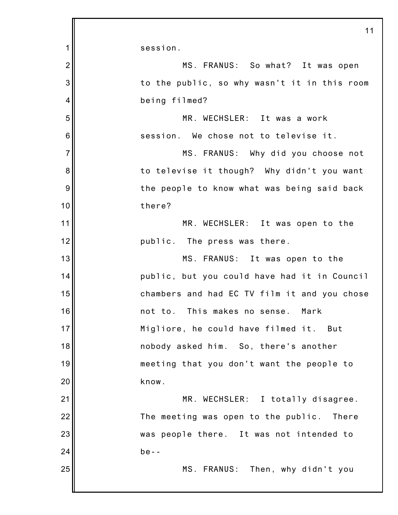|                | 11                                           |
|----------------|----------------------------------------------|
| 1              | session.                                     |
| $\overline{2}$ | MS. FRANUS: So what? It was open             |
| 3              | to the public, so why wasn't it in this room |
| 4              | being filmed?                                |
| 5              | MR. WECHSLER: It was a work                  |
| 6              | session. We chose not to televise it.        |
| $\overline{7}$ | MS. FRANUS: Why did you choose not           |
| 8              | to televise it though? Why didn't you want   |
| 9              | the people to know what was being said back  |
| 10             | there?                                       |
| 11             | MR. WECHSLER: It was open to the             |
| 12             | public. The press was there.                 |
| 13             | MS. FRANUS: It was open to the               |
| 14             | public, but you could have had it in Council |
| 15             | chambers and had EC TV film it and you chose |
| 16             | not to. This makes no sense.<br>Mark         |
| 17             | Migliore, he could have filmed it.<br>But    |
| 18             | nobody asked him. So, there's another        |
| 19             | meeting that you don't want the people to    |
| 20             | know.                                        |
| 21             | MR. WECHSLER: I totally disagree.            |
| 22             | The meeting was open to the public. There    |
| 23             | was people there. It was not intended to     |
| 24             | $be - -$                                     |
| 25             | MS. FRANUS: Then, why didn't you             |
|                |                                              |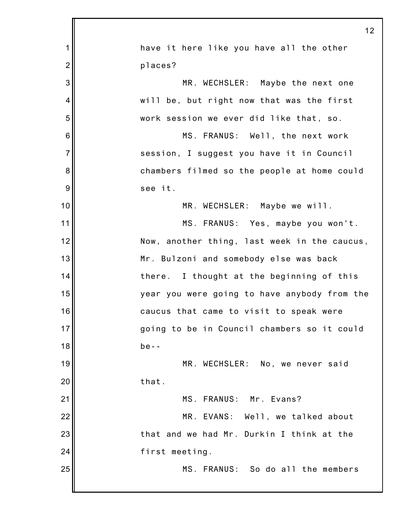|                | 12                                           |
|----------------|----------------------------------------------|
| 1              | have it here like you have all the other     |
| $\overline{2}$ | places?                                      |
| 3              | MR. WECHSLER: Maybe the next one             |
| 4              | will be, but right now that was the first    |
| 5              | work session we ever did like that, so.      |
| 6              | MS. FRANUS: Well, the next work              |
| $\overline{7}$ | session, I suggest you have it in Council    |
| 8              | chambers filmed so the people at home could  |
| 9              | see it.                                      |
| 10             | MR. WECHSLER: Maybe we will.                 |
| 11             | MS. FRANUS: Yes, maybe you won't.            |
| 12             | Now, another thing, last week in the caucus, |
| 13             | Mr. Bulzoni and somebody else was back       |
| 14             | there. I thought at the beginning of this    |
| 15             | year you were going to have anybody from the |
| 16             | caucus that came to visit to speak were      |
| 17             | going to be in Council chambers so it could  |
| 18             | $be - -$                                     |
| 19             | MR. WECHSLER: No, we never said              |
| 20             | that.                                        |
| 21             | MS. FRANUS: Mr. Evans?                       |
| 22             | MR. EVANS: Well, we talked about             |
| 23             | that and we had Mr. Durkin I think at the    |
| 24             | first meeting.                               |
| 25             | MS. FRANUS: So do all the members            |
|                |                                              |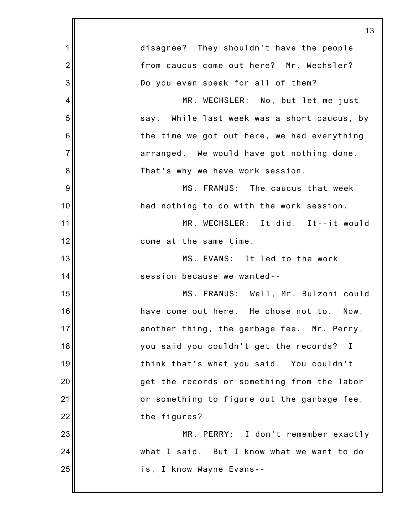|                | 13                                          |
|----------------|---------------------------------------------|
| 1              | disagree? They shouldn't have the people    |
| $\overline{2}$ | from caucus come out here? Mr. Wechsler?    |
| 3              | Do you even speak for all of them?          |
| 4              | MR. WECHSLER: No, but let me just           |
| 5              | say. While last week was a short caucus, by |
| 6              | the time we got out here, we had everything |
| $\overline{7}$ | arranged. We would have got nothing done.   |
| 8              | That's why we have work session.            |
| 9              | MS. FRANUS: The caucus that week            |
| 10             | had nothing to do with the work session.    |
| 11             | MR. WECHSLER: It did. It--it would          |
| 12             | come at the same time.                      |
| 13             | MS. EVANS: It led to the work               |
| 14             | session because we wanted--                 |
| 15             | MS. FRANUS: Well, Mr. Bulzoni could         |
| 16             | have come out here. He chose not to. Now,   |
| 17             | another thing, the garbage fee. Mr. Perry,  |
| 18             | you said you couldn't get the records? I    |
| 19             | think that's what you said. You couldn't    |
| 20             | get the records or something from the labor |
| 21             | or something to figure out the garbage fee, |
| 22             | the figures?                                |
| 23             | MR. PERRY: I don't remember exactly         |
| 24             | what I said. But I know what we want to do  |
| 25             | is, I know Wayne Evans--                    |
|                |                                             |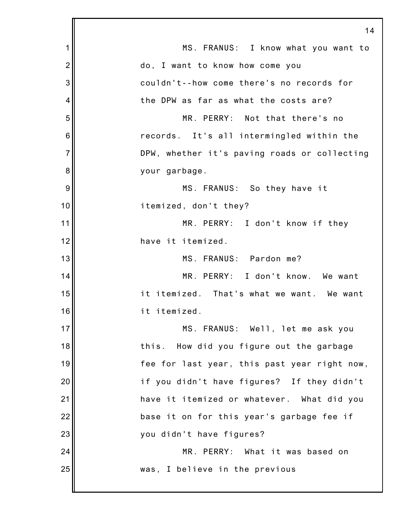|                | 14                                           |
|----------------|----------------------------------------------|
| 1              | MS. FRANUS: I know what you want to          |
| $\overline{2}$ | do, I want to know how come you              |
| 3              | couldn't--how come there's no records for    |
| 4              | the DPW as far as what the costs are?        |
| 5              | MR. PERRY: Not that there's no               |
| 6              | records. It's all intermingled within the    |
| $\overline{7}$ | DPW, whether it's paving roads or collecting |
| 8              | your garbage.                                |
| 9              | MS. FRANUS: So they have it                  |
| 10             | itemized, don't they?                        |
| 11             | MR. PERRY: I don't know if they              |
| 12             | have it itemized.                            |
| 13             | MS. FRANUS: Pardon me?                       |
| 14             | MR. PERRY: I don't know. We want             |
| 15             | it itemized. That's what we want. We want    |
| 16             | it itemized.                                 |
| 17             | MS. FRANUS: Well, let me ask you             |
| 18             | How did you figure out the garbage<br>this.  |
| 19             | fee for last year, this past year right now, |
| 20             | if you didn't have figures? If they didn't   |
| 21             | have it itemized or whatever. What did you   |
| 22             | base it on for this year's garbage fee if    |
| 23             | you didn't have figures?                     |
| 24             | MR. PERRY: What it was based on              |
| 25             | was, I believe in the previous               |
|                |                                              |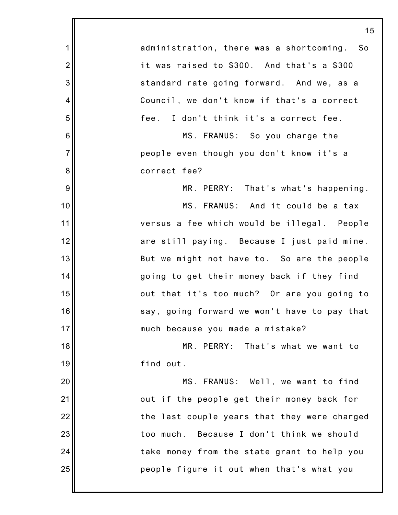|                 | 15                                               |
|-----------------|--------------------------------------------------|
| 1               | administration, there was a shortcoming.<br>- So |
| $\overline{2}$  | it was raised to \$300. And that's a \$300       |
| 3               | standard rate going forward. And we, as a        |
| 4               | Council, we don't know if that's a correct       |
| 5               | fee. I don't think it's a correct fee.           |
| $6\phantom{1}6$ | MS. FRANUS: So you charge the                    |
| $\overline{7}$  | people even though you don't know it's a         |
| 8               | correct fee?                                     |
| 9               | MR. PERRY: That's what's happening.              |
| 10              | MS. FRANUS: And it could be a tax                |
| 11              | versus a fee which would be illegal. People      |
| 12              | are still paying. Because I just paid mine.      |
| 13              | But we might not have to. So are the people      |
| 14              | going to get their money back if they find       |
| 15              | out that it's too much? Or are you going to      |
| 16              | say, going forward we won't have to pay that     |
| 17              | much because you made a mistake?                 |
| 18              | MR. PERRY: That's what we want to                |
| 19              | find out.                                        |
| 20              | MS. FRANUS: Well, we want to find                |
| 21              | out if the people get their money back for       |
| 22              | the last couple years that they were charged     |
| 23              | too much. Because I don't think we should        |
| 24              | take money from the state grant to help you      |
| 25              | people figure it out when that's what you        |
|                 |                                                  |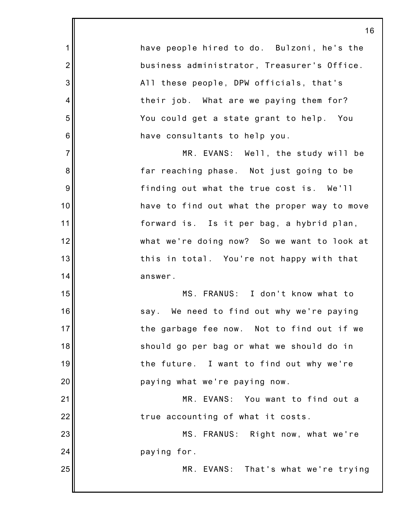have people hired to do. Bulzoni, he's the business administrator, Treasurer's Office. All these people, DPW officials, that's their job. What are we paying them for? You could get a state grant to help. You have consultants to help you.

1

2

3

4

5

6

7

8

9

10

11

12

13

14

15

16

17

18

19

20

21

25

MR. EVANS: Well, the study will be far reaching phase. Not just going to be finding out what the true cost is. We'll have to find out what the proper way to move forward is. Is it per bag, a hybrid plan, what we're doing now? So we want to look at this in total. You're not happy with that answer.

MS. FRANUS: I don't know what to say. We need to find out why we're paying the garbage fee now. Not to find out if we should go per bag or what we should do in the future. I want to find out why we're paying what we're paying now.

22 MR. EVANS: You want to find out a true accounting of what it costs.

23 24 MS. FRANUS: Right now, what we're paying for.

MR. EVANS: That's what we're trying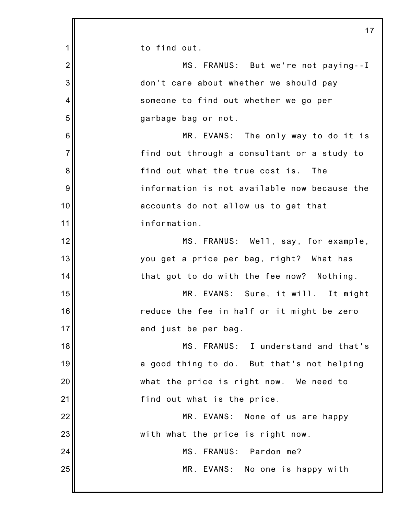1 2 3 4 5 6 7 8 9 10 11 12 13 14 15 16 17 18 19 20 21 22 23 24 25 17 to find out. MS. FRANUS: But we're not paying--I don't care about whether we should pay someone to find out whether we go per garbage bag or not. MR. EVANS: The only way to do it is find out through a consultant or a study to find out what the true cost is. The information is not available now because the accounts do not allow us to get that information. MS. FRANUS: Well, say, for example, you get a price per bag, right? What has that got to do with the fee now? Nothing. MR. EVANS: Sure, it will. It might reduce the fee in half or it might be zero and just be per bag. MS. FRANUS: I understand and that's a good thing to do. But that's not helping what the price is right now. We need to find out what is the price. MR. EVANS: None of us are happy with what the price is right now. MS. FRANUS: Pardon me? MR. EVANS: No one is happy with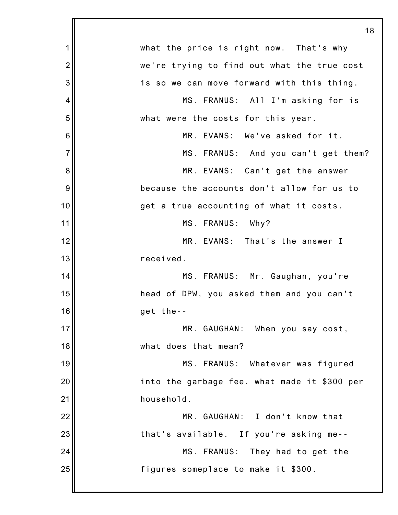|                | 18                                           |
|----------------|----------------------------------------------|
| 1              | what the price is right now. That's why      |
| $\overline{2}$ | we're trying to find out what the true cost  |
| 3              | is so we can move forward with this thing.   |
| 4              | MS. FRANUS: All I'm asking for is            |
| 5              | what were the costs for this year.           |
| 6              | MR. EVANS: We've asked for it.               |
| $\overline{7}$ | MS. FRANUS: And you can't get them?          |
| 8              | MR. EVANS: Can't get the answer              |
| 9              | because the accounts don't allow for us to   |
| 10             | get a true accounting of what it costs.      |
| 11             | MS. FRANUS: Why?                             |
| 12             | MR. EVANS: That's the answer I               |
| 13             | received.                                    |
| 14             | MS. FRANUS: Mr. Gaughan, you're              |
| 15             | head of DPW, you asked them and you can't    |
| 16             | get the--                                    |
| 17             | MR. GAUGHAN: When you say cost,              |
| 18             | what does that mean?                         |
| 19             | MS. FRANUS: Whatever was figured             |
| 20             | into the garbage fee, what made it \$300 per |
| 21             | household.                                   |
| 22             | MR. GAUGHAN: I don't know that               |
| 23             | that's available. If you're asking me--      |
| 24             | MS. FRANUS: They had to get the              |
| 25             | figures someplace to make it \$300.          |
|                |                                              |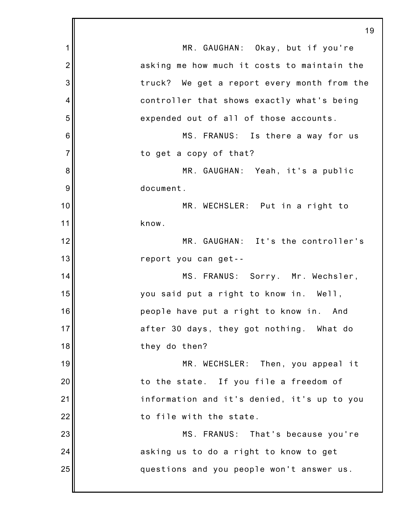1 2 3 4 5 6 7 8 9 10 11 12 13 14 15 16 17 18 19 20 21 22 23 24 25 19 MR. GAUGHAN: Okay, but if you're asking me how much it costs to maintain the truck? We get a report every month from the controller that shows exactly what's being expended out of all of those accounts. MS. FRANUS: Is there a way for us to get a copy of that? MR. GAUGHAN: Yeah, it's a public document. MR. WECHSLER: Put in a right to know. MR. GAUGHAN: It's the controller's report you can get-- MS. FRANUS: Sorry. Mr. Wechsler, you said put a right to know in. Well, people have put a right to know in. And after 30 days, they got nothing. What do they do then? MR. WECHSLER: Then, you appeal it to the state. If you file a freedom of information and it's denied, it's up to you to file with the state. MS. FRANUS: That's because you're asking us to do a right to know to get questions and you people won't answer us.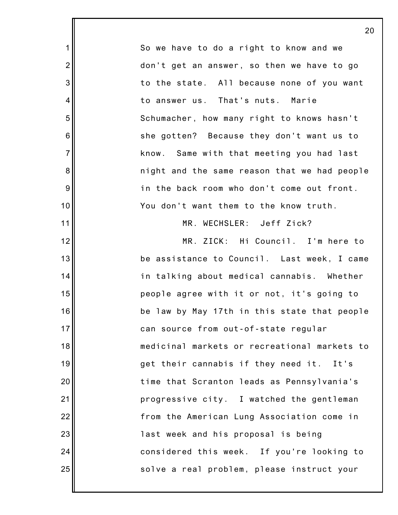|                  | 2 <sub>0</sub>                               |
|------------------|----------------------------------------------|
| $\mathbf 1$      | So we have to do a right to know and we      |
| $\overline{2}$   | don't get an answer, so then we have to go   |
| $\mathbf{3}$     | to the state. All because none of you want   |
| 4                | to answer us. That's nuts. Marie             |
| $\mathbf 5$      | Schumacher, how many right to knows hasn't   |
| $\,6$            | she gotten? Because they don't want us to    |
| $\overline{7}$   | know. Same with that meeting you had last    |
| $\bf 8$          | night and the same reason that we had people |
| $\boldsymbol{9}$ | in the back room who don't come out front.   |
| 10               | You don't want them to the know truth.       |
| 11               | MR. WECHSLER: Jeff Zick?                     |
| 12               | MR. ZICK: Hi Council. I'm here to            |
| 13               | be assistance to Council. Last week, I came  |
| 14               | in talking about medical cannabis. Whether   |
| 15               | people agree with it or not, it's going to   |
| 16               | be law by May 17th in this state that people |
| 17               | can source from out-of-state regular         |
| 18               | medicinal markets or recreational markets to |
| 19               | get their cannabis if they need it. It's     |
| 20               | time that Scranton leads as Pennsylvania's   |
| 21               | progressive city. I watched the gentleman    |
| 22               | from the American Lung Association come in   |
| 23               | last week and his proposal is being          |
| 24               | considered this week. If you're looking to   |
| 25               | solve a real problem, please instruct your   |
|                  |                                              |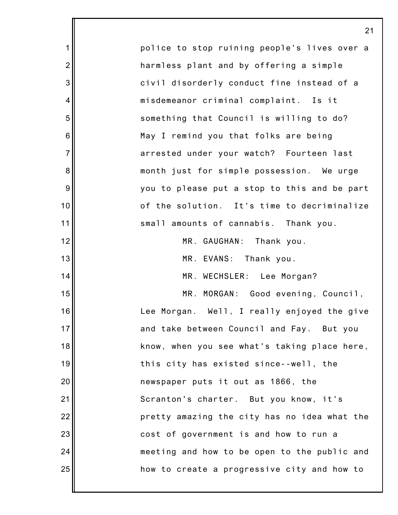|                | 21                                           |
|----------------|----------------------------------------------|
| 1              | police to stop ruining people's lives over a |
| $\overline{2}$ | harmless plant and by offering a simple      |
| 3              | civil disorderly conduct fine instead of a   |
| $\overline{4}$ | misdemeanor criminal complaint. Is it        |
| 5              | something that Council is willing to do?     |
| 6              | May I remind you that folks are being        |
| $\overline{7}$ | arrested under your watch? Fourteen last     |
| 8              | month just for simple possession. We urge    |
| 9              | you to please put a stop to this and be part |
| 10             | of the solution. It's time to decriminalize  |
| 11             | small amounts of cannabis. Thank you.        |
| 12             | MR. GAUGHAN: Thank you.                      |
| 13             | MR. EVANS: Thank you.                        |
| 14             | MR. WECHSLER: Lee Morgan?                    |
| 15             | MR. MORGAN: Good evening, Council,           |
| 16             | Lee Morgan. Well, I really enjoyed the give  |
| 17             | and take between Council and Fay. But you    |
| 18             | know, when you see what's taking place here, |
| 19             | this city has existed since--well, the       |
| 20             | newspaper puts it out as 1866, the           |
| 21             | Scranton's charter. But you know, it's       |
| 22             | pretty amazing the city has no idea what the |
| 23             | cost of government is and how to run a       |
| 24             | meeting and how to be open to the public and |
| 25             | how to create a progressive city and how to  |
|                |                                              |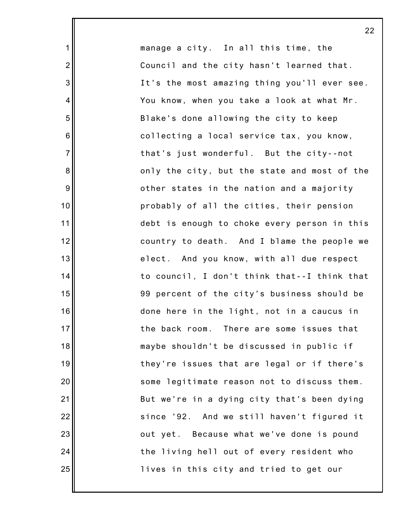manage a city. In all this time, the Council and the city hasn't learned that. It's the most amazing thing you'll ever see. You know, when you take a look at what Mr. Blake's done allowing the city to keep collecting a local service tax, you know, that's just wonderful. But the city--not only the city, but the state and most of the other states in the nation and a majority probably of all the cities, their pension debt is enough to choke every person in this country to death. And I blame the people we elect. And you know, with all due respect to council, I don't think that--I think that 99 percent of the city's business should be done here in the light, not in a caucus in the back room. There are some issues that maybe shouldn't be discussed in public if they're issues that are legal or if there's some legitimate reason not to discuss them. But we're in a dying city that's been dying since '92. And we still haven't figured it out yet. Because what we've done is pound the living hell out of every resident who lives in this city and tried to get our

1

2

3

4

5

6

7

8

9

10

11

12

13

14

15

16

17

18

19

20

21

22

23

24

25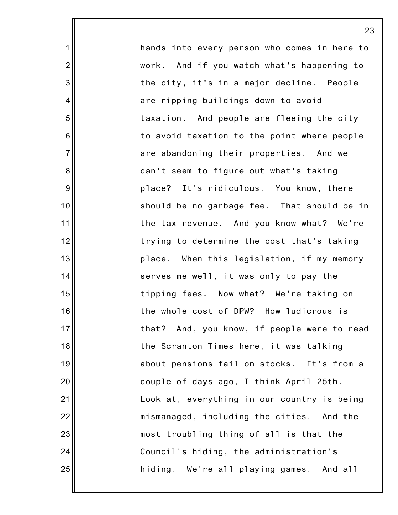hands into every person who comes in here to work. And if you watch what's happening to the city, it's in a major decline. People are ripping buildings down to avoid taxation. And people are fleeing the city to avoid taxation to the point where people are abandoning their properties. And we can't seem to figure out what's taking place? It's ridiculous. You know, there should be no garbage fee. That should be in the tax revenue. And you know what? We're trying to determine the cost that's taking place. When this legislation, if my memory serves me well, it was only to pay the tipping fees. Now what? We're taking on the whole cost of DPW? How ludicrous is that? And, you know, if people were to read the Scranton Times here, it was talking about pensions fail on stocks. It's from a couple of days ago, I think April 25th. Look at, everything in our country is being mismanaged, including the cities. And the most troubling thing of all is that the Council's hiding, the administration's hiding. We're all playing games. And all

23

1

2

3

4

5

6

7

8

9

10

11

12

13

14

15

16

17

18

19

20

21

22

23

24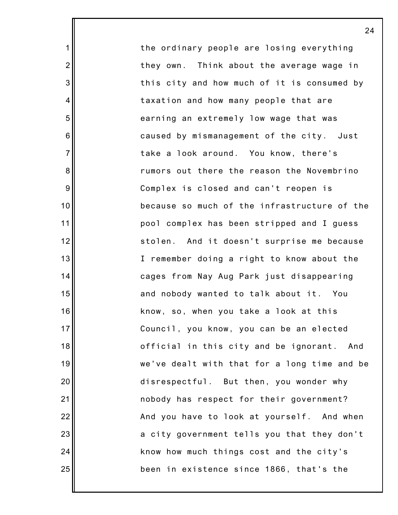the ordinary people are losing everything they own. Think about the average wage in this city and how much of it is consumed by taxation and how many people that are earning an extremely low wage that was caused by mismanagement of the city. Just take a look around. You know, there's rumors out there the reason the Novembrino Complex is closed and can't reopen is because so much of the infrastructure of the pool complex has been stripped and I guess stolen. And it doesn't surprise me because I remember doing a right to know about the cages from Nay Aug Park just disappearing and nobody wanted to talk about it. You know, so, when you take a look at this Council, you know, you can be an elected official in this city and be ignorant. And we've dealt with that for a long time and be disrespectful. But then, you wonder why nobody has respect for their government? And you have to look at yourself. And when a city government tells you that they don't know how much things cost and the city's been in existence since 1866, that's the

24

1

2

3

4

5

6

7

8

9

10

11

12

13

14

15

16

17

18

19

20

21

22

23

24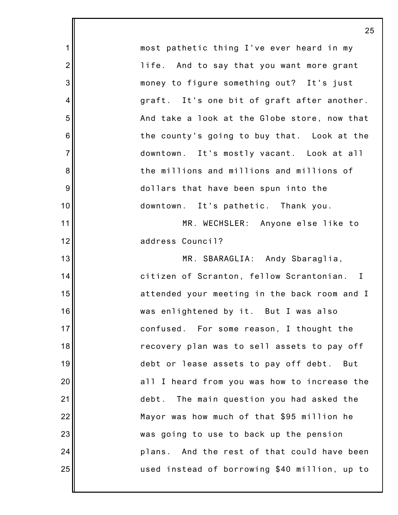|                 | 25                                            |
|-----------------|-----------------------------------------------|
| 1               | most pathetic thing I've ever heard in my     |
| $\overline{2}$  | life. And to say that you want more grant     |
| 3               | money to figure something out? It's just      |
| 4               | graft. It's one bit of graft after another.   |
| 5               | And take a look at the Globe store, now that  |
| $6\phantom{1}6$ | the county's going to buy that. Look at the   |
| $\overline{7}$  | downtown. It's mostly vacant. Look at all     |
| $\bf 8$         | the millions and millions and millions of     |
| 9               | dollars that have been spun into the          |
| 10              | downtown. It's pathetic. Thank you.           |
| 11              | MR. WECHSLER: Anyone else like to             |
| 12              | address Council?                              |
| 13              | MR. SBARAGLIA: Andy Sbaraglia,                |
| 14              | citizen of Scranton, fellow Scrantonian. I    |
| 15              | attended your meeting in the back room and I  |
| 16              | was enlightened by it. But I was also         |
| 17              | confused. For some reason, I thought the      |
| 18              | recovery plan was to sell assets to pay off   |
| 19              | debt or lease assets to pay off debt. But     |
| 20              | all I heard from you was how to increase the  |
| 21              | debt. The main question you had asked the     |
| 22              | Mayor was how much of that \$95 million he    |
| 23              | was going to use to back up the pension       |
| 24              | plans. And the rest of that could have been   |
| 25              | used instead of borrowing \$40 million, up to |
|                 |                                               |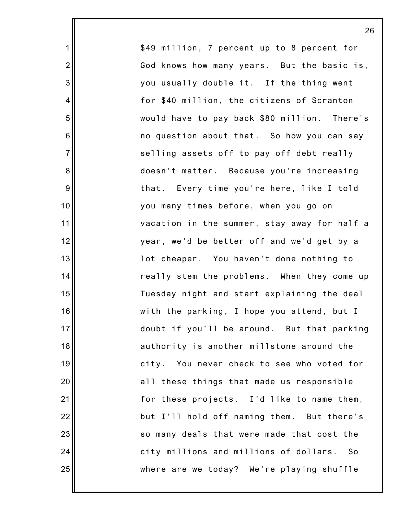\$49 million, 7 percent up to 8 percent for God knows how many years. But the basic is, you usually double it. If the thing went for \$40 million, the citizens of Scranton would have to pay back \$80 million. There's no question about that. So how you can say selling assets off to pay off debt really doesn't matter. Because you're increasing that. Every time you're here, like I told you many times before, when you go on vacation in the summer, stay away for half a year, we'd be better off and we'd get by a lot cheaper. You haven't done nothing to really stem the problems. When they come up Tuesday night and start explaining the deal with the parking, I hope you attend, but I doubt if you'll be around. But that parking authority is another millstone around the city. You never check to see who voted for all these things that made us responsible for these projects. I'd like to name them, but I'll hold off naming them. But there's so many deals that were made that cost the city millions and millions of dollars. So where are we today? We're playing shuffle

26

1

2

3

4

5

6

7

8

9

10

11

12

13

14

15

16

17

18

19

20

21

22

23

24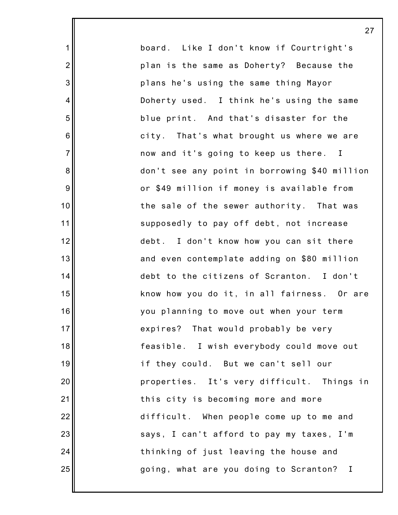board. Like I don't know if Courtright's plan is the same as Doherty? Because the plans he's using the same thing Mayor Doherty used. I think he's using the same blue print. And that's disaster for the city. That's what brought us where we are now and it's going to keep us there. I don't see any point in borrowing \$40 million or \$49 million if money is available from the sale of the sewer authority. That was supposedly to pay off debt, not increase debt. I don't know how you can sit there and even contemplate adding on \$80 million debt to the citizens of Scranton. I don't know how you do it, in all fairness. Or are you planning to move out when your term expires? That would probably be very feasible. I wish everybody could move out if they could. But we can't sell our properties. It's very difficult. Things in this city is becoming more and more difficult. When people come up to me and says, I can't afford to pay my taxes, I'm thinking of just leaving the house and going, what are you doing to Scranton? I

27

1

2

3

4

5

6

7

8

9

10

11

12

13

14

15

16

17

18

19

20

21

22

23

24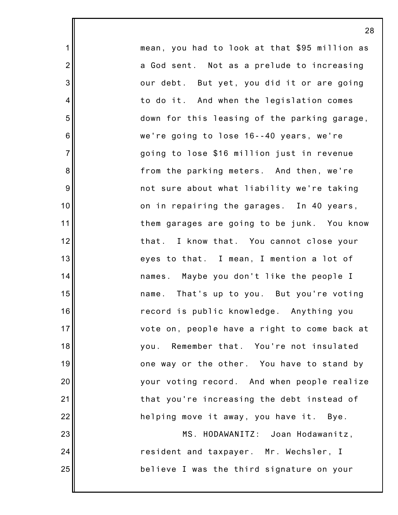mean, you had to look at that \$95 million as a God sent. Not as a prelude to increasing our debt. But yet, you did it or are going to do it. And when the legislation comes down for this leasing of the parking garage, we're going to lose 16--40 years, we're going to lose \$16 million just in revenue from the parking meters. And then, we're not sure about what liability we're taking on in repairing the garages. In 40 years, them garages are going to be junk. You know that. I know that. You cannot close your eyes to that. I mean, I mention a lot of names. Maybe you don't like the people I name. That's up to you. But you're voting record is public knowledge. Anything you vote on, people have a right to come back at you. Remember that. You're not insulated one way or the other. You have to stand by your voting record. And when people realize that you're increasing the debt instead of helping move it away, you have it. Bye. MS. HODAWANITZ: Joan Hodawanitz, resident and taxpayer. Mr. Wechsler, I believe I was the third signature on your

28

1

2

3

4

5

6

7

8

9

10

11

12

13

14

15

16

17

18

19

20

21

22

23

24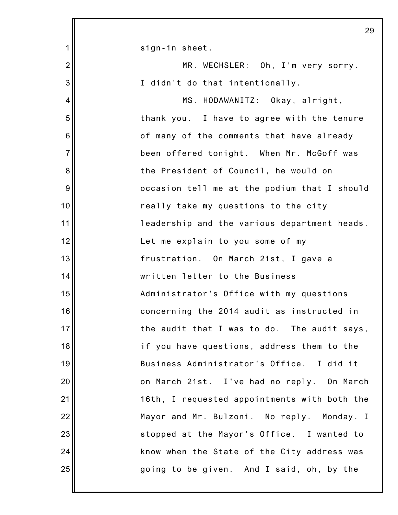|                | 29                                           |
|----------------|----------------------------------------------|
| 1              | sign-in sheet.                               |
| $\overline{2}$ | MR. WECHSLER: Oh, I'm very sorry.            |
| 3              | I didn't do that intentionally.              |
| 4              | MS. HODAWANITZ: Okay, alright,               |
| 5              | thank you. I have to agree with the tenure   |
| 6              | of many of the comments that have already    |
| $\overline{7}$ | been offered tonight. When Mr. McGoff was    |
| 8              | the President of Council, he would on        |
| 9              | occasion tell me at the podium that I should |
| 10             | really take my questions to the city         |
| 11             | leadership and the various department heads. |
| 12             | Let me explain to you some of my             |
| 13             | frustration. On March 21st, I gave a         |
| 14             | written letter to the Business               |
| 15             | Administrator's Office with my questions     |
| 16             | concerning the 2014 audit as instructed in   |
| 17             | the audit that I was to do. The audit says,  |
| 18             | if you have questions, address them to the   |
| 19             | Business Administrator's Office. I did it    |
| 20             | on March 21st. I've had no reply. On March   |
| 21             | 16th, I requested appointments with both the |
| 22             | Mayor and Mr. Bulzoni. No reply. Monday, I   |
| 23             | stopped at the Mayor's Office. I wanted to   |
| 24             | know when the State of the City address was  |
| 25             | going to be given. And I said, oh, by the    |
|                |                                              |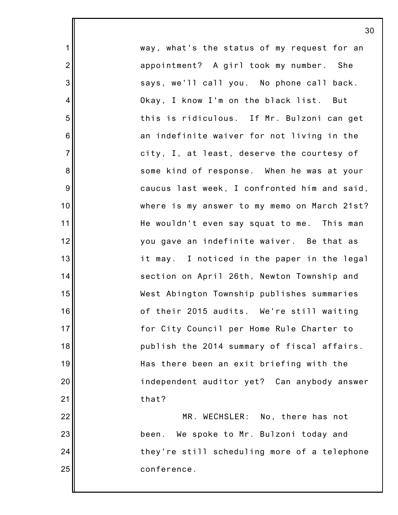way, what's the status of my request for an appointment? A girl took my number. She says, we'll call you. No phone call back. Okay, I know I'm on the black list. But this is ridiculous. If Mr. Bulzoni can get an indefinite waiver for not living in the city, I, at least, deserve the courtesy of some kind of response. When he was at your caucus last week, I confronted him and said, where is my answer to my memo on March 21st? He wouldn't even say squat to me. This man you gave an indefinite waiver. Be that as it may. I noticed in the paper in the legal section on April 26th, Newton Township and West Abington Township publishes summaries of their 2015 audits. We're still waiting for City Council per Home Rule Charter to publish the 2014 summary of fiscal affairs. Has there been an exit briefing with the independent auditor yet? Can anybody answer that?

1

2

3

4

5

6

7

8

9

10

11

12

13

14

15

16

17

18

19

20

21

22

23

24

25

MR. WECHSLER: No, there has not been. We spoke to Mr. Bulzoni today and they're still scheduling more of a telephone conference.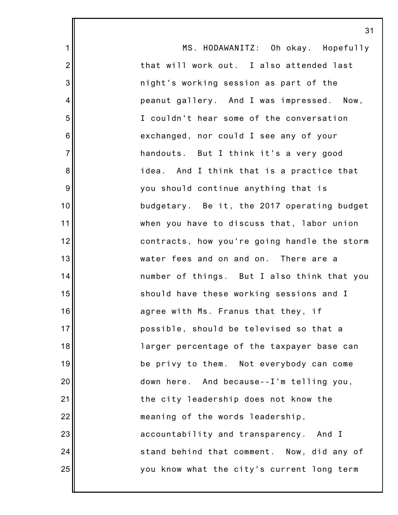|                  | 3 <sup>1</sup>                               |
|------------------|----------------------------------------------|
| 1                | MS. HODAWANITZ: Oh okay. Hopefully           |
| $\overline{2}$   | that will work out. I also attended last     |
| 3                | night's working session as part of the       |
| 4                | peanut gallery. And I was impressed. Now,    |
| 5                | I couldn't hear some of the conversation     |
| $6\phantom{1}6$  | exchanged, nor could I see any of your       |
| $\overline{7}$   | handouts. But I think it's a very good       |
| 8                | idea. And I think that is a practice that    |
| $\boldsymbol{9}$ | you should continue anything that is         |
| 10               | budgetary. Be it, the 2017 operating budget  |
| 11               | when you have to discuss that, labor union   |
| 12               | contracts, how you're going handle the storm |
| 13               | water fees and on and on. There are a        |
| 14               | number of things. But I also think that you  |
| 15               | should have these working sessions and I     |
| 16               | agree with Ms. Franus that they, if          |
| 17               | possible, should be televised so that a      |
| 18               | larger percentage of the taxpayer base can   |
| 19               | be privy to them. Not everybody can come     |
| 20               | down here. And because--I'm telling you,     |
| 21               | the city leadership does not know the        |
| 22               | meaning of the words leadership,             |
| 23               | accountability and transparency. And I       |
| 24               | stand behind that comment. Now, did any of   |
| 25               | you know what the city's current long term   |
|                  |                                              |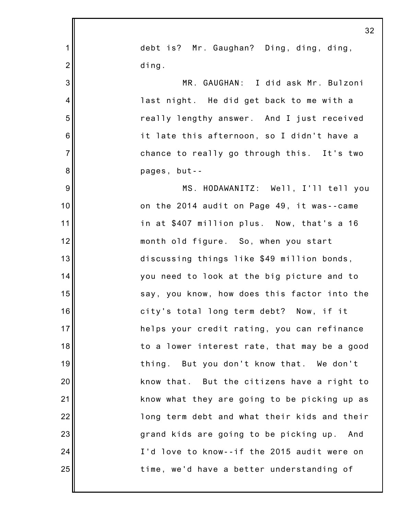|                  | 32                                           |
|------------------|----------------------------------------------|
| $\mathbf 1$      | debt is? Mr. Gaughan? Ding, ding, ding,      |
| $\overline{2}$   | ding.                                        |
| $\mathbf{3}$     | MR. GAUGHAN: I did ask Mr. Bulzoni           |
| $\overline{4}$   | last night. He did get back to me with a     |
| 5                | really lengthy answer. And I just received   |
| 6                | it late this afternoon, so I didn't have a   |
| $\overline{7}$   | chance to really go through this. It's two   |
| 8                | pages, but--                                 |
| $\boldsymbol{9}$ | MS. HODAWANITZ: Well, I'll tell you          |
| 10               | on the 2014 audit on Page 49, it was--came   |
| 11               | in at \$407 million plus. Now, that's a 16   |
| 12               | month old figure. So, when you start         |
| 13               | discussing things like \$49 million bonds,   |
| 14               | you need to look at the big picture and to   |
| 15               | say, you know, how does this factor into the |
| 16               | city's total long term debt? Now, if it      |
| 17               | helps your credit rating, you can refinance  |
| 18               | to a lower interest rate, that may be a good |
| 19               | thing. But you don't know that. We don't     |
| 20               | know that. But the citizens have a right to  |
| 21               | know what they are going to be picking up as |
| 22               | long term debt and what their kids and their |
| 23               | grand kids are going to be picking up. And   |
| 24               | I'd love to know--if the 2015 audit were on  |
| 25               | time, we'd have a better understanding of    |
|                  |                                              |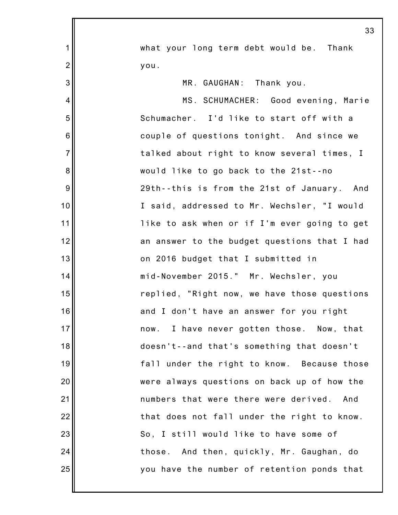|                 | 33                                           |
|-----------------|----------------------------------------------|
| 1               |                                              |
|                 | what your long term debt would be. Thank     |
| $\overline{2}$  | you.                                         |
| 3               | MR. GAUGHAN: Thank you.                      |
| 4               | MS. SCHUMACHER: Good evening, Marie          |
| 5               | Schumacher. I'd like to start off with a     |
| $6\phantom{1}6$ | couple of questions tonight. And since we    |
| $\overline{7}$  | talked about right to know several times, I  |
| 8               | would like to go back to the 21st--no        |
| 9               | 29th--this is from the 21st of January. And  |
| 10              | I said, addressed to Mr. Wechsler, "I would  |
| 11              | like to ask when or if I'm ever going to get |
| 12              | an answer to the budget questions that I had |
| 13              | on 2016 budget that I submitted in           |
| 14              | mid-November 2015." Mr. Wechsler, you        |
| 15              | replied, "Right now, we have those questions |
| 16              | and I don't have an answer for you right     |
| 17              | now. I have never gotten those. Now, that    |
| 18              | doesn't--and that's something that doesn't   |
| 19              | fall under the right to know. Because those  |
| 20              | were always questions on back up of how the  |
| 21              | numbers that were there were derived.<br>And |
| 22              | that does not fall under the right to know.  |
| 23              | So, I still would like to have some of       |
| 24              | those. And then, quickly, Mr. Gaughan, do    |
| 25              | you have the number of retention ponds that  |
|                 |                                              |
|                 |                                              |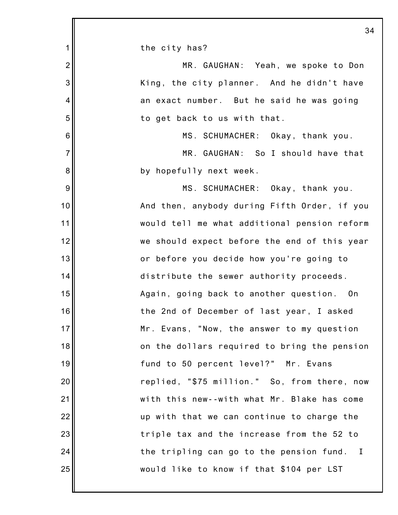|                 | 34                                           |
|-----------------|----------------------------------------------|
| 1               | the city has?                                |
| $\overline{c}$  | MR. GAUGHAN: Yeah, we spoke to Don           |
| 3               | King, the city planner. And he didn't have   |
| 4               | an exact number. But he said he was going    |
| 5               | to get back to us with that.                 |
| $6\phantom{1}6$ | MS. SCHUMACHER: Okay, thank you.             |
| $\overline{7}$  | MR. GAUGHAN: So I should have that           |
| 8               | by hopefully next week.                      |
| 9               | MS. SCHUMACHER: Okay, thank you.             |
| 10              | And then, anybody during Fifth Order, if you |
| 11              | would tell me what additional pension reform |
| 12              | we should expect before the end of this year |
| 13              | or before you decide how you're going to     |
| 14              | distribute the sewer authority proceeds.     |
| 15              | Again, going back to another question. On    |
| 16              | the 2nd of December of last year, I asked    |
| 17              | Mr. Evans, "Now, the answer to my question   |
| 18              | on the dollars required to bring the pension |
| 19              | fund to 50 percent level?" Mr. Evans         |
| 20              | replied, "\$75 million." So, from there, now |
| 21              | with this new--with what Mr. Blake has come  |
| 22              | up with that we can continue to charge the   |
| 23              | triple tax and the increase from the 52 to   |
| 24              | the tripling can go to the pension fund. I   |
| 25              | would like to know if that \$104 per LST     |
|                 |                                              |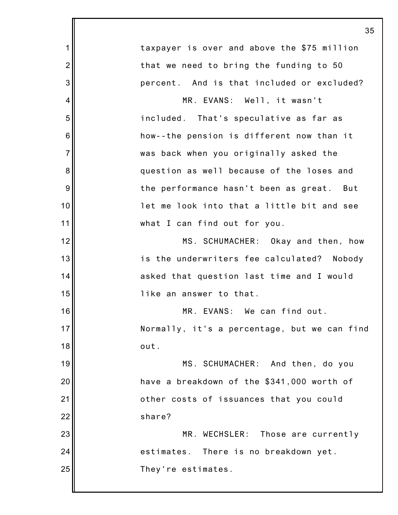|                | 35                                           |
|----------------|----------------------------------------------|
| 1              | taxpayer is over and above the \$75 million  |
| $\overline{2}$ | that we need to bring the funding to 50      |
| 3              | percent. And is that included or excluded?   |
| 4              | MR. EVANS: Well, it wasn't                   |
| 5              | included. That's speculative as far as       |
| 6              | how--the pension is different now than it    |
| $\overline{7}$ | was back when you originally asked the       |
| 8              | question as well because of the loses and    |
| 9              | the performance hasn't been as great. But    |
| 10             | let me look into that a little bit and see   |
| 11             | what I can find out for you.                 |
| 12             | MS. SCHUMACHER: Okay and then, how           |
| 13             | is the underwriters fee calculated? Nobody   |
| 14             | asked that question last time and I would    |
| 15             | like an answer to that.                      |
| 16             | MR. EVANS: We can find out.                  |
| 17             | Normally, it's a percentage, but we can find |
| 18             | out.                                         |
| 19             | MS. SCHUMACHER: And then, do you             |
| 20             | have a breakdown of the \$341,000 worth of   |
| 21             | other costs of issuances that you could      |
| 22             | share?                                       |
| 23             | MR. WECHSLER: Those are currently            |
| 24             | estimates. There is no breakdown yet.        |
| 25             | They're estimates.                           |
|                |                                              |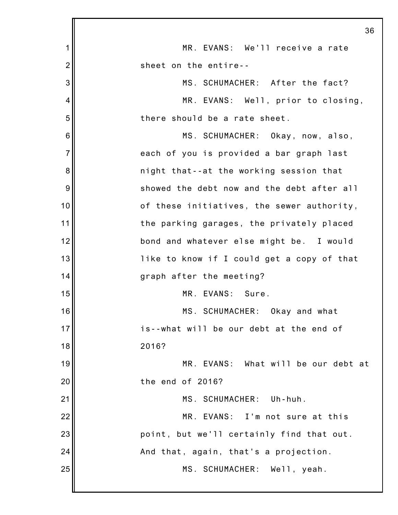|                | 36                                         |
|----------------|--------------------------------------------|
| 1              | MR. EVANS: We'll receive a rate            |
| $\overline{2}$ | sheet on the entire--                      |
| 3              | MS. SCHUMACHER: After the fact?            |
| 4              | MR. EVANS: Well, prior to closing,         |
| 5              | there should be a rate sheet.              |
| 6              | MS. SCHUMACHER: Okay, now, also,           |
| $\overline{7}$ | each of you is provided a bar graph last   |
| 8              | night that--at the working session that    |
| 9              | showed the debt now and the debt after all |
| 10             | of these initiatives, the sewer authority, |
| 11             | the parking garages, the privately placed  |
| 12             | bond and whatever else might be. I would   |
| 13             | like to know if I could get a copy of that |
| 14             | graph after the meeting?                   |
| 15             | MR. EVANS: Sure.                           |
| 16             | MS. SCHUMACHER: Okay and what              |
| 17             | is--what will be our debt at the end of    |
| 18             | 2016?                                      |
| 19             | MR. EVANS: What will be our debt at        |
| 20             | the end of 2016?                           |
| 21             | MS. SCHUMACHER: Uh-huh.                    |
| 22             | MR. EVANS: I'm not sure at this            |
| 23             | point, but we'll certainly find that out.  |
| 24             | And that, again, that's a projection.      |
| 25             | MS. SCHUMACHER: Well, yeah.                |
|                |                                            |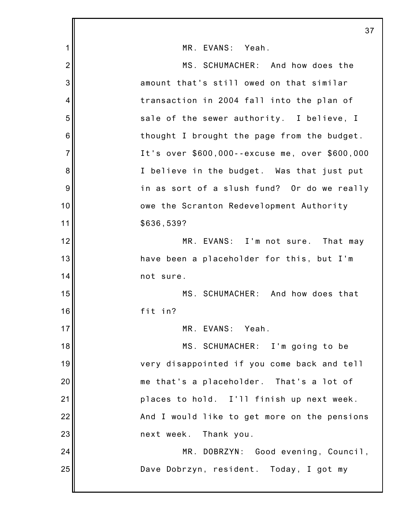|                | 37                                             |
|----------------|------------------------------------------------|
| 1              | MR. EVANS: Yeah.                               |
| $\overline{2}$ | MS. SCHUMACHER: And how does the               |
| 3              | amount that's still owed on that similar       |
| $\overline{4}$ | transaction in 2004 fall into the plan of      |
| 5              | sale of the sewer authority. I believe, I      |
| 6              | thought I brought the page from the budget.    |
| $\overline{7}$ | It's over \$600,000--excuse me, over \$600,000 |
| 8              | I believe in the budget. Was that just put     |
| 9              | in as sort of a slush fund? Or do we really    |
| 10             | owe the Scranton Redevelopment Authority       |
| 11             | \$636,539?                                     |
| 12             | MR. EVANS: I'm not sure. That may              |
| 13             | have been a placeholder for this, but I'm      |
| 14             | not sure.                                      |
| 15             | MS. SCHUMACHER: And how does that              |
| 16             | fit in?                                        |
| 17             | MR. EVANS: Yeah.                               |
| 18             | MS. SCHUMACHER: I'm going to be                |
| 19             | very disappointed if you come back and tell    |
| 20             | me that's a placeholder. That's a lot of       |
| 21             | places to hold. I'll finish up next week.      |
| 22             | And I would like to get more on the pensions   |
| 23             | next week.<br>Thank you.                       |
| 24             | MR. DOBRZYN: Good evening, Council,            |
| 25             | Dave Dobrzyn, resident. Today, I got my        |
|                |                                                |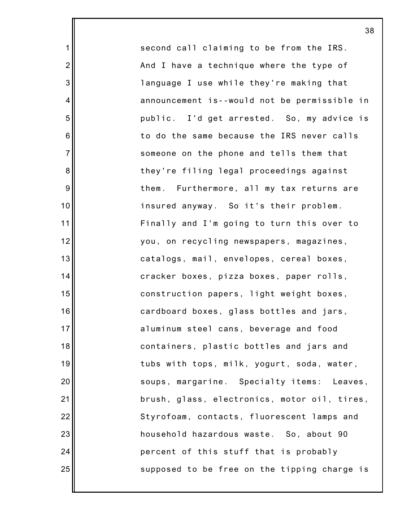second call claiming to be from the IRS. And I have a technique where the type of language I use while they're making that announcement is--would not be permissible in public. I'd get arrested. So, my advice is to do the same because the IRS never calls someone on the phone and tells them that they're filing legal proceedings against them. Furthermore, all my tax returns are insured anyway. So it's their problem. Finally and I'm going to turn this over to you, on recycling newspapers, magazines, catalogs, mail, envelopes, cereal boxes, cracker boxes, pizza boxes, paper rolls, construction papers, light weight boxes, cardboard boxes, glass bottles and jars, aluminum steel cans, beverage and food containers, plastic bottles and jars and tubs with tops, milk, yogurt, soda, water, soups, margarine. Specialty items: Leaves, brush, glass, electronics, motor oil, tires, Styrofoam, contacts, fluorescent lamps and household hazardous waste. So, about 90 percent of this stuff that is probably supposed to be free on the tipping charge is

38

1

2

3

4

5

6

7

8

9

10

11

12

13

14

15

16

17

18

19

20

21

22

23

24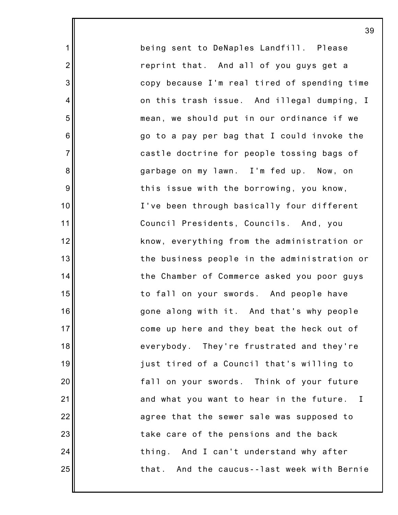being sent to DeNaples Landfill. Please reprint that. And all of you guys get a copy because I'm real tired of spending time on this trash issue. And illegal dumping, I mean, we should put in our ordinance if we go to a pay per bag that I could invoke the castle doctrine for people tossing bags of garbage on my lawn. I'm fed up. Now, on this issue with the borrowing, you know, I've been through basically four different Council Presidents, Councils. And, you know, everything from the administration or the business people in the administration or the Chamber of Commerce asked you poor guys to fall on your swords. And people have gone along with it. And that's why people come up here and they beat the heck out of everybody. They're frustrated and they're just tired of a Council that's willing to fall on your swords. Think of your future and what you want to hear in the future. I agree that the sewer sale was supposed to take care of the pensions and the back thing. And I can't understand why after that. And the caucus--last week with Bernie

1

2

3

4

5

6

7

8

9

10

11

12

13

14

15

16

17

18

19

20

21

22

23

24

25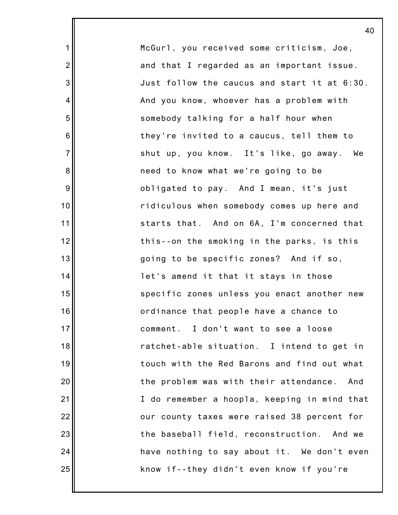| McGurl, you received some criticism, Joe,    |
|----------------------------------------------|
| and that I regarded as an important issue.   |
| Just follow the caucus and start it at 6:30. |
| And you know, whoever has a problem with     |
| somebody talking for a half hour when        |
| they're invited to a caucus, tell them to    |
| shut up, you know. It's like, go away. We    |
| need to know what we're going to be          |
| obligated to pay. And I mean, it's just      |
| ridiculous when somebody comes up here and   |
| starts that. And on 6A, I'm concerned that   |
| this--on the smoking in the parks, is this   |
| going to be specific zones? And if so,       |
| let's amend it that it stays in those        |
| specific zones unless you enact another new  |
| ordinance that people have a chance to       |
| comment. I don't want to see a loose         |
| ratchet-able situation. I intend to get in   |
| touch with the Red Barons and find out what  |
| the problem was with their attendance. And   |
| I do remember a hoopla, keeping in mind that |
| our county taxes were raised 38 percent for  |
| the baseball field, reconstruction. And we   |
| have nothing to say about it. We don't even  |
| know if--they didn't even know if you're     |
|                                              |

1

2

3

4

5

6

7

8

9

10

11

12

13

14

15

16

17

18

19

20

21

22

23

24

25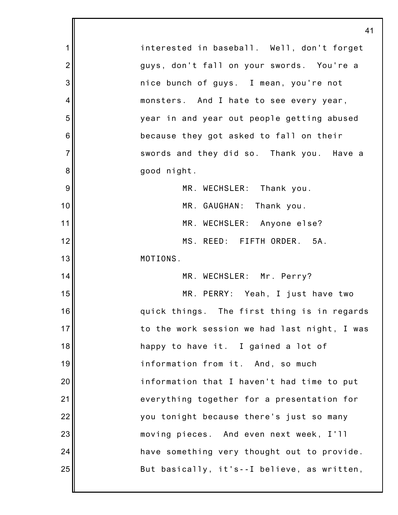1 2 3 4 5 6 7 8 9 10 11 12 13 14 15 16 17 18 19 20 21 22 23 24 25 41 interested in baseball. Well, don't forget guys, don't fall on your swords. You're a nice bunch of guys. I mean, you're not monsters. And I hate to see every year, year in and year out people getting abused because they got asked to fall on their swords and they did so. Thank you. Have a good night. MR. WECHSLER: Thank you. MR. GAUGHAN: Thank you. MR. WECHSLER: Anyone else? MS. REED: FIFTH ORDER. 5A. MOTIONS. MR. WECHSLER: Mr. Perry? MR. PERRY: Yeah, I just have two quick things. The first thing is in regards to the work session we had last night, I was happy to have it. I gained a lot of information from it. And, so much information that I haven't had time to put everything together for a presentation for you tonight because there's just so many moving pieces. And even next week, I'll have something very thought out to provide. But basically, it's--I believe, as written,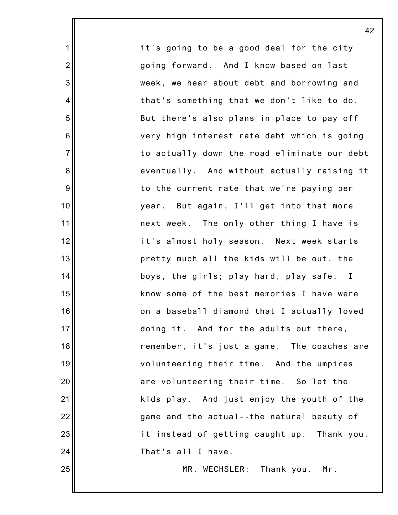it's going to be a good deal for the city going forward. And I know based on last week, we hear about debt and borrowing and that's something that we don't like to do. But there's also plans in place to pay off very high interest rate debt which is going to actually down the road eliminate our debt eventually. And without actually raising it to the current rate that we're paying per year. But again, I'll get into that more next week. The only other thing I have is it's almost holy season. Next week starts pretty much all the kids will be out, the boys, the girls; play hard, play safe. I know some of the best memories I have were on a baseball diamond that I actually loved doing it. And for the adults out there, remember, it's just a game. The coaches are volunteering their time. And the umpires are volunteering their time. So let the kids play. And just enjoy the youth of the game and the actual--the natural beauty of it instead of getting caught up. Thank you. That's all I have.

1

2

3

4

5

6

7

8

9

10

11

12

13

14

15

16

17

18

19

20

21

22

23

24

25

MR. WECHSLER: Thank you. Mr.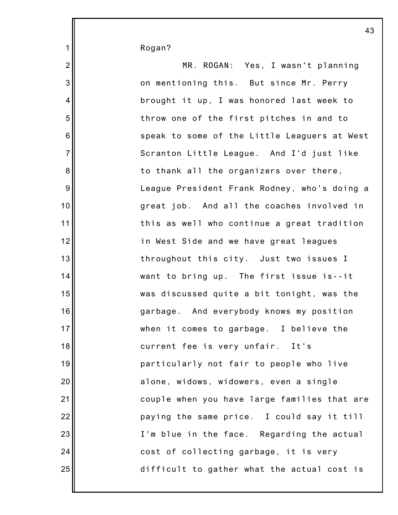Rogan?

1

| $\overline{2}$   | MR. ROGAN: Yes, I wasn't planning            |
|------------------|----------------------------------------------|
| 3                | on mentioning this. But since Mr. Perry      |
| $\overline{4}$   | brought it up, I was honored last week to    |
| 5                | throw one of the first pitches in and to     |
| $\,6$            | speak to some of the Little Leaguers at West |
| $\overline{7}$   | Scranton Little League. And I'd just like    |
| $\bf 8$          | to thank all the organizers over there,      |
| $\boldsymbol{9}$ | League President Frank Rodney, who's doing a |
| $10$             | great job. And all the coaches involved in   |
| 11               | this as well who continue a great tradition  |
| 12               | in West Side and we have great leagues       |
| 13               | throughout this city. Just two issues I      |
| 14               | want to bring up. The first issue is--it     |
| 15               | was discussed quite a bit tonight, was the   |
| 16               | garbage. And everybody knows my position     |
| 17               | when it comes to garbage. I believe the      |
| 18               | current fee is very unfair. It's             |
| 19               | particularly not fair to people who live     |
| 20               | alone, widows, widowers, even a single       |
| 21               | couple when you have large families that are |
| 22               | paying the same price. I could say it till   |
| 23               | I'm blue in the face. Regarding the actual   |
| 24               | cost of collecting garbage, it is very       |
| 25               | difficult to gather what the actual cost is  |
|                  |                                              |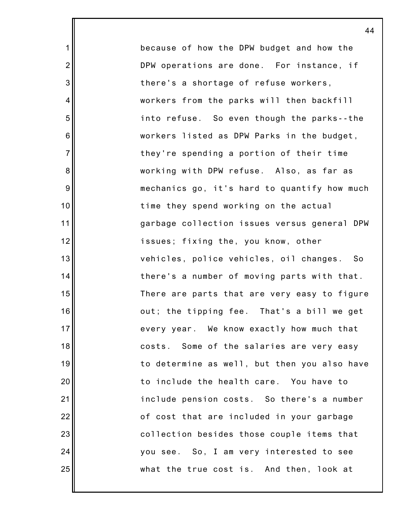because of how the DPW budget and how the DPW operations are done. For instance, if there's a shortage of refuse workers, workers from the parks will then backfill into refuse. So even though the parks--the workers listed as DPW Parks in the budget, they're spending a portion of their time working with DPW refuse. Also, as far as mechanics go, it's hard to quantify how much time they spend working on the actual garbage collection issues versus general DPW issues; fixing the, you know, other vehicles, police vehicles, oil changes. So there's a number of moving parts with that. There are parts that are very easy to figure out; the tipping fee. That's a bill we get every year. We know exactly how much that costs. Some of the salaries are very easy to determine as well, but then you also have to include the health care. You have to include pension costs. So there's a number of cost that are included in your garbage collection besides those couple items that you see. So, I am very interested to see what the true cost is. And then, look at

1

2

3

4

5

6

7

8

9

10

11

12

13

14

15

16

17

18

19

20

21

22

23

24

25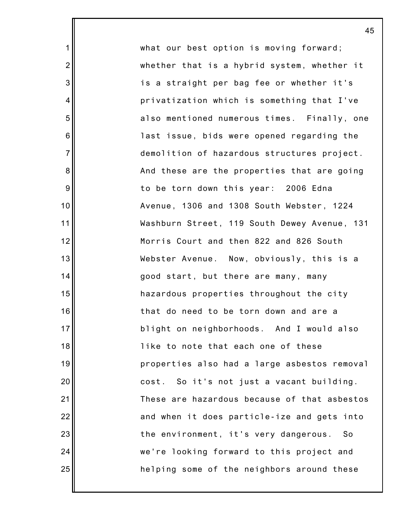what our best option is moving forward; whether that is a hybrid system, whether it is a straight per bag fee or whether it's privatization which is something that I've also mentioned numerous times. Finally, one last issue, bids were opened regarding the demolition of hazardous structures project. And these are the properties that are going to be torn down this year: 2006 Edna Avenue, 1306 and 1308 South Webster, 1224 Washburn Street, 119 South Dewey Avenue, 131 Morris Court and then 822 and 826 South Webster Avenue. Now, obviously, this is a good start, but there are many, many hazardous properties throughout the city that do need to be torn down and are a blight on neighborhoods. And I would also like to note that each one of these properties also had a large asbestos removal cost. So it's not just a vacant building. These are hazardous because of that asbestos and when it does particle-ize and gets into the environment, it's very dangerous. So we're looking forward to this project and helping some of the neighbors around these

45

1

2

3

4

5

6

7

8

9

10

11

12

13

14

15

16

17

18

19

20

21

22

23

24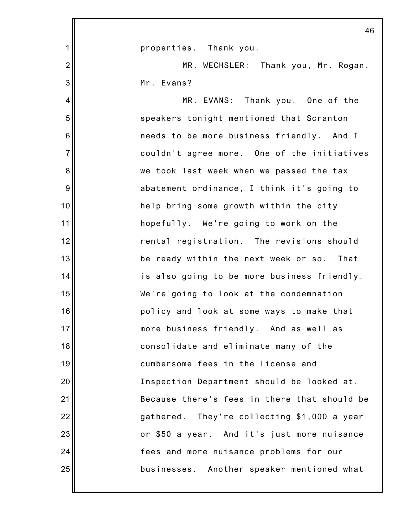|                | 46                                           |
|----------------|----------------------------------------------|
| $\mathbf 1$    | properties. Thank you.                       |
| $\overline{2}$ | MR. WECHSLER: Thank you, Mr. Rogan.          |
| 3              | Mr. Evans?                                   |
| 4              | MR. EVANS: Thank you. One of the             |
| 5              | speakers tonight mentioned that Scranton     |
| 6              | needs to be more business friendly. And I    |
| $\overline{7}$ | couldn't agree more. One of the initiatives  |
| 8              | we took last week when we passed the tax     |
| 9              | abatement ordinance, I think it's going to   |
| 10             | help bring some growth within the city       |
| 11             | hopefully. We're going to work on the        |
| 12             | rental registration. The revisions should    |
| 13             | be ready within the next week or so. That    |
| 14             | is also going to be more business friendly.  |
| 15             | We're going to look at the condemnation      |
| 16             | policy and look at some ways to make that    |
| 17             | more business friendly. And as well as       |
| 18             | consolidate and eliminate many of the        |
| 19             | cumbersome fees in the License and           |
| 20             | Inspection Department should be looked at.   |
| 21             | Because there's fees in there that should be |
| 22             | gathered. They're collecting \$1,000 a year  |
| 23             | or \$50 a year. And it's just more nuisance  |
| 24             | fees and more nuisance problems for our      |
| 25             | businesses. Another speaker mentioned what   |
|                |                                              |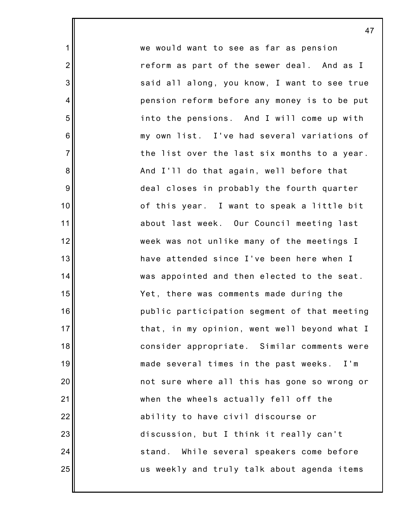we would want to see as far as pension reform as part of the sewer deal. And as I said all along, you know, I want to see true pension reform before any money is to be put into the pensions. And I will come up with my own list. I've had several variations of the list over the last six months to a year. And I'll do that again, well before that deal closes in probably the fourth quarter of this year. I want to speak a little bit about last week. Our Council meeting last week was not unlike many of the meetings I have attended since I've been here when I was appointed and then elected to the seat. Yet, there was comments made during the public participation segment of that meeting that, in my opinion, went well beyond what I consider appropriate. Similar comments were made several times in the past weeks. I'm not sure where all this has gone so wrong or when the wheels actually fell off the ability to have civil discourse or discussion, but I think it really can't stand. While several speakers come before us weekly and truly talk about agenda items

1

2

3

4

5

6

7

8

9

10

11

12

13

14

15

16

17

18

19

20

21

22

23

24

25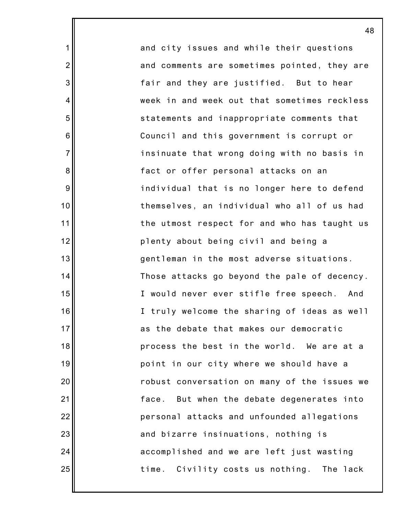and city issues and while their questions and comments are sometimes pointed, they are fair and they are justified. But to hear week in and week out that sometimes reckless statements and inappropriate comments that Council and this government is corrupt or insinuate that wrong doing with no basis in fact or offer personal attacks on an individual that is no longer here to defend themselves, an individual who all of us had the utmost respect for and who has taught us plenty about being civil and being a gentleman in the most adverse situations. Those attacks go beyond the pale of decency. I would never ever stifle free speech. And I truly welcome the sharing of ideas as well as the debate that makes our democratic process the best in the world. We are at a point in our city where we should have a robust conversation on many of the issues we face. But when the debate degenerates into personal attacks and unfounded allegations and bizarre insinuations, nothing is accomplished and we are left just wasting time. Civility costs us nothing. The lack

48

1

2

3

4

5

6

7

8

9

10

11

12

13

14

15

16

17

18

19

20

21

22

23

24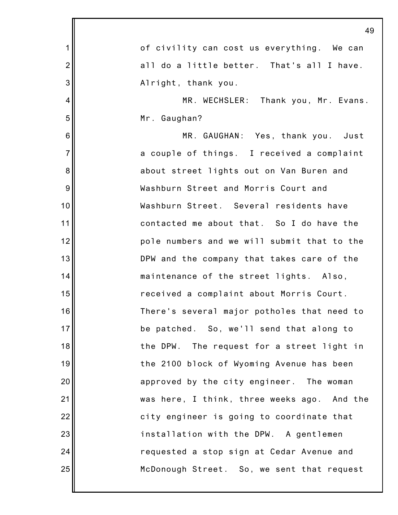|                | 49                                          |
|----------------|---------------------------------------------|
| $\mathbf 1$    | of civility can cost us everything. We can  |
| $\overline{2}$ | all do a little better. That's all I have.  |
| 3              | Alright, thank you.                         |
| $\overline{4}$ | MR. WECHSLER: Thank you, Mr. Evans.         |
| 5              | Mr. Gaughan?                                |
| 6              | MR. GAUGHAN: Yes, thank you. Just           |
| $\overline{7}$ | a couple of things. I received a complaint  |
| 8              | about street lights out on Van Buren and    |
| 9              | Washburn Street and Morris Court and        |
| 10             | Washburn Street. Several residents have     |
| 11             | contacted me about that. So I do have the   |
| 12             | pole numbers and we will submit that to the |
| 13             | DPW and the company that takes care of the  |
| 14             | maintenance of the street lights. Also,     |
| 15             | received a complaint about Morris Court.    |
| 16             | There's several major potholes that need to |
| 17             | be patched. So, we'll send that along to    |
| 18             | the DPW. The request for a street light in  |
| 19             | the 2100 block of Wyoming Avenue has been   |
| 20             | approved by the city engineer. The woman    |
| 21             | was here, I think, three weeks ago. And the |
| 22             | city engineer is going to coordinate that   |
| 23             | installation with the DPW. A gentlemen      |
| 24             | requested a stop sign at Cedar Avenue and   |
| 25             | McDonough Street. So, we sent that request  |
|                |                                             |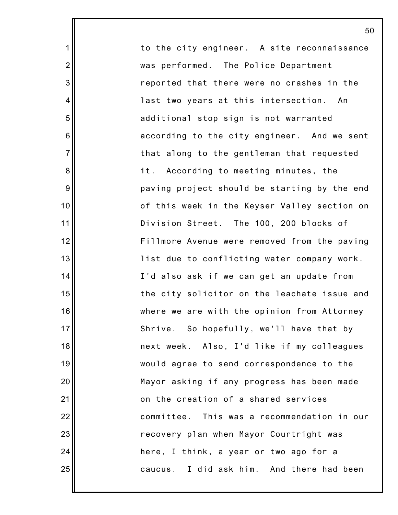to the city engineer. A site reconnaissance was performed. The Police Department reported that there were no crashes in the last two years at this intersection. An additional stop sign is not warranted according to the city engineer. And we sent that along to the gentleman that requested it. According to meeting minutes, the paving project should be starting by the end of this week in the Keyser Valley section on Division Street. The 100, 200 blocks of Fillmore Avenue were removed from the paving list due to conflicting water company work. I'd also ask if we can get an update from the city solicitor on the leachate issue and where we are with the opinion from Attorney Shrive. So hopefully, we'll have that by next week. Also, I'd like if my colleagues would agree to send correspondence to the Mayor asking if any progress has been made on the creation of a shared services committee. This was a recommendation in our recovery plan when Mayor Courtright was here, I think, a year or two ago for a caucus. I did ask him. And there had been

1

2

3

4

5

6

7

8

9

10

11

12

13

14

15

16

17

18

19

20

21

22

23

24

25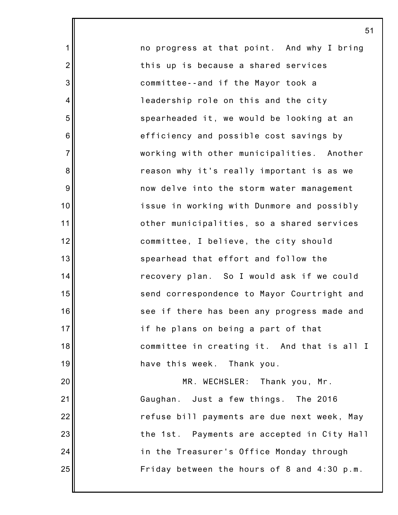no progress at that point. And why I bring this up is because a shared services committee--and if the Mayor took a leadership role on this and the city spearheaded it, we would be looking at an efficiency and possible cost savings by working with other municipalities. Another reason why it's really important is as we now delve into the storm water management issue in working with Dunmore and possibly other municipalities, so a shared services committee, I believe, the city should spearhead that effort and follow the recovery plan. So I would ask if we could send correspondence to Mayor Courtright and see if there has been any progress made and if he plans on being a part of that committee in creating it. And that is all I have this week. Thank you. MR. WECHSLER: Thank you, Mr. Gaughan. Just a few things. The 2016

refuse bill payments are due next week, May

the 1st. Payments are accepted in City Hall

Friday between the hours of 8 and 4:30 p.m.

in the Treasurer's Office Monday through

25

1

2

3

4

5

6

7

8

9

10

11

12

13

14

15

16

17

18

19

20

21

22

23

24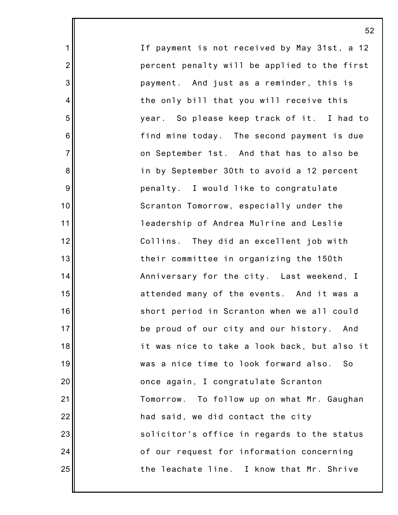If payment is not received by May 31st, a 12 percent penalty will be applied to the first payment. And just as a reminder, this is the only bill that you will receive this year. So please keep track of it. I had to find mine today. The second payment is due on September 1st. And that has to also be in by September 30th to avoid a 12 percent penalty. I would like to congratulate Scranton Tomorrow, especially under the leadership of Andrea Mulrine and Leslie Collins. They did an excellent job with their committee in organizing the 150th Anniversary for the city. Last weekend, I attended many of the events. And it was a short period in Scranton when we all could be proud of our city and our history. And it was nice to take a look back, but also it was a nice time to look forward also. So once again, I congratulate Scranton Tomorrow. To follow up on what Mr. Gaughan had said, we did contact the city solicitor's office in regards to the status of our request for information concerning the leachate line. I know that Mr. Shrive

52

1

2

3

4

5

6

7

8

9

10

11

12

13

14

15

16

17

18

19

20

21

22

23

24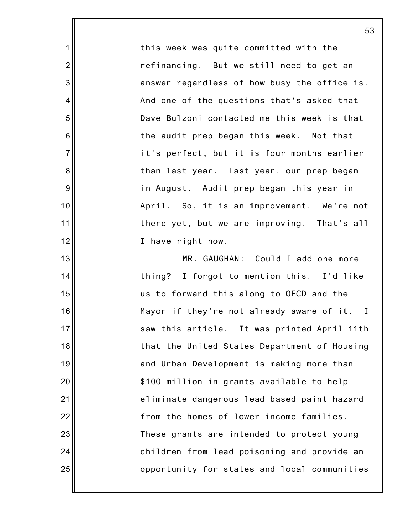this week was quite committed with the refinancing. But we still need to get an answer regardless of how busy the office is. And one of the questions that's asked that Dave Bulzoni contacted me this week is that the audit prep began this week. Not that it's perfect, but it is four months earlier than last year. Last year, our prep began in August. Audit prep began this year in April. So, it is an improvement. We're not there yet, but we are improving. That's all I have right now.

1

2

3

4

5

6

7

8

9

10

11

12

13

14

15

16

17

18

19

20

21

22

23

24

25

MR. GAUGHAN: Could I add one more thing? I forgot to mention this. I'd like us to forward this along to OECD and the Mayor if they're not already aware of it. I saw this article. It was printed April 11th that the United States Department of Housing and Urban Development is making more than \$100 million in grants available to help eliminate dangerous lead based paint hazard from the homes of lower income families. These grants are intended to protect young children from lead poisoning and provide an opportunity for states and local communities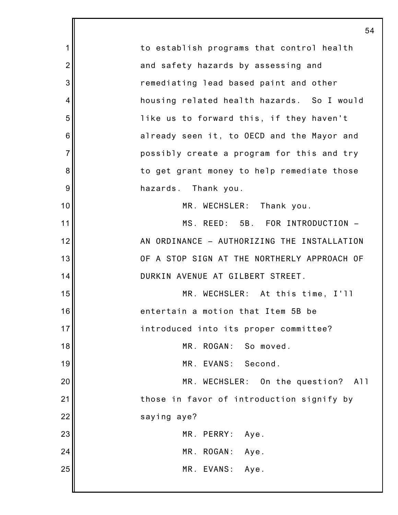|                | 54                                          |
|----------------|---------------------------------------------|
| 1              | to establish programs that control health   |
| $\overline{2}$ | and safety hazards by assessing and         |
| 3              | remediating lead based paint and other      |
| 4              | housing related health hazards. So I would  |
| 5              | like us to forward this, if they haven't    |
| 6              | already seen it, to OECD and the Mayor and  |
| $\overline{7}$ | possibly create a program for this and try  |
| 8              | to get grant money to help remediate those  |
| 9              | hazards. Thank you.                         |
| 10             | MR. WECHSLER: Thank you.                    |
| 11             | MS. REED: 5B. FOR INTRODUCTION -            |
| 12             | AN ORDINANCE - AUTHORIZING THE INSTALLATION |
| 13             | OF A STOP SIGN AT THE NORTHERLY APPROACH OF |
| 14             | DURKIN AVENUE AT GILBERT STREET.            |
| 15             | MR. WECHSLER: At this time, I'll            |
| 16             | entertain a motion that Item 5B be          |
| 17             | introduced into its proper committee?       |
| 18             | MR. ROGAN: So moved.                        |
| 19             | MR. EVANS: Second.                          |
| 20             | MR. WECHSLER: On the question? All          |
| 21             | those in favor of introduction signify by   |
| 22             | saying aye?                                 |
| 23             | MR. PERRY:<br>Aye.                          |
| 24             | MR. ROGAN:<br>Aye.                          |
| 25             | MR. EVANS: Aye.                             |
|                |                                             |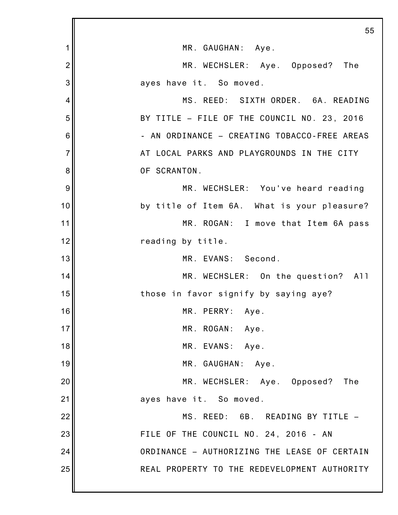|                | 55                                           |
|----------------|----------------------------------------------|
| 1              | MR. GAUGHAN: Aye.                            |
| $\overline{2}$ | MR. WECHSLER: Aye. Opposed? The              |
| 3              | ayes have it. So moved.                      |
| 4              | MS. REED: SIXTH ORDER. 6A. READING           |
| 5              | BY TITLE - FILE OF THE COUNCIL NO. 23, 2016  |
| 6              | - AN ORDINANCE - CREATING TOBACCO-FREE AREAS |
| $\overline{7}$ | AT LOCAL PARKS AND PLAYGROUNDS IN THE CITY   |
| 8              | OF SCRANTON.                                 |
| 9              | MR. WECHSLER: You've heard reading           |
| 10             | by title of Item 6A. What is your pleasure?  |
| 11             | MR. ROGAN: I move that Item 6A pass          |
| 12             | reading by title.                            |
| 13             | MR. EVANS: Second.                           |
| 14             | MR. WECHSLER: On the question? All           |
| 15             | those in favor signify by saying aye?        |
| 16             | MR. PERRY:<br>Aye.                           |
| 17             | MR. ROGAN:<br>Aye.                           |
| 18             | MR. EVANS: Aye.                              |
| 19             | MR. GAUGHAN:<br>Aye.                         |
| 20             | MR. WECHSLER: Aye. Opposed?<br>The           |
| 21             | ayes have it. So moved.                      |
| 22             | MS. REED: 6B. READING BY TITLE -             |
| 23             | FILE OF THE COUNCIL NO. 24, 2016 - AN        |
| 24             | ORDINANCE - AUTHORIZING THE LEASE OF CERTAIN |
| 25             | REAL PROPERTY TO THE REDEVELOPMENT AUTHORITY |
|                |                                              |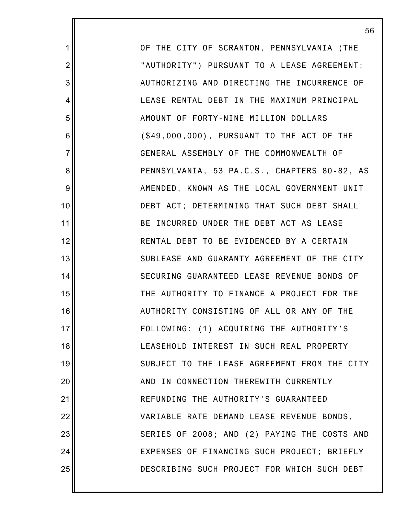OF THE CITY OF SCRANTON, PENNSYLVANIA (THE "AUTHORITY") PURSUANT TO A LEASE AGREEMENT; AUTHORIZING AND DIRECTING THE INCURRENCE OF LEASE RENTAL DEBT IN THE MAXIMUM PRINCIPAL AMOUNT OF FORTY-NINE MILLION DOLLARS (\$49,000,000), PURSUANT TO THE ACT OF THE GENERAL ASSEMBLY OF THE COMMONWEALTH OF PENNSYLVANIA, 53 PA.C.S., CHAPTERS 80-82, AS AMENDED, KNOWN AS THE LOCAL GOVERNMENT UNIT DEBT ACT; DETERMINING THAT SUCH DEBT SHALL BE INCURRED UNDER THE DEBT ACT AS LEASE RENTAL DEBT TO BE EVIDENCED BY A CERTAIN SUBLEASE AND GUARANTY AGREEMENT OF THE CITY SECURING GUARANTEED LEASE REVENUE BONDS OF THE AUTHORITY TO FINANCE A PROJECT FOR THE AUTHORITY CONSISTING OF ALL OR ANY OF THE FOLLOWING: (1) ACQUIRING THE AUTHORITY'S LEASEHOLD INTEREST IN SUCH REAL PROPERTY SUBJECT TO THE LEASE AGREEMENT FROM THE CITY AND IN CONNECTION THEREWITH CURRENTLY REFUNDING THE AUTHORITY'S GUARANTEED VARIABLE RATE DEMAND LEASE REVENUE BONDS, SERIES OF 2008; AND (2) PAYING THE COSTS AND EXPENSES OF FINANCING SUCH PROJECT; BRIEFLY DESCRIBING SUCH PROJECT FOR WHICH SUCH DEBT

1

2

3

4

5

6

7

8

9

10

11

12

13

14

15

16

17

18

19

20

21

22

23

24

25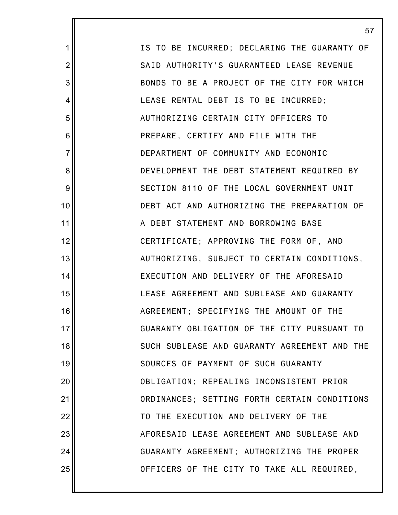IS TO BE INCURRED; DECLARING THE GUARANTY OF SAID AUTHORITY'S GUARANTEED LEASE REVENUE BONDS TO BE A PROJECT OF THE CITY FOR WHICH LEASE RENTAL DEBT IS TO BE INCURRED; AUTHORIZING CERTAIN CITY OFFICERS TO PREPARE, CERTIFY AND FILE WITH THE DEPARTMENT OF COMMUNITY AND ECONOMIC DEVELOPMENT THE DEBT STATEMENT REQUIRED BY SECTION 8110 OF THE LOCAL GOVERNMENT UNIT DEBT ACT AND AUTHORIZING THE PREPARATION OF A DEBT STATEMENT AND BORROWING BASE CERTIFICATE; APPROVING THE FORM OF, AND AUTHORIZING, SUBJECT TO CERTAIN CONDITIONS, EXECUTION AND DELIVERY OF THE AFORESAID LEASE AGREEMENT AND SUBLEASE AND GUARANTY AGREEMENT; SPECIFYING THE AMOUNT OF THE GUARANTY OBLIGATION OF THE CITY PURSUANT TO SUCH SUBLEASE AND GUARANTY AGREEMENT AND THE SOURCES OF PAYMENT OF SUCH GUARANTY OBLIGATION; REPEALING INCONSISTENT PRIOR ORDINANCES; SETTING FORTH CERTAIN CONDITIONS TO THE EXECUTION AND DELIVERY OF THE AFORESAID LEASE AGREEMENT AND SUBLEASE AND GUARANTY AGREEMENT; AUTHORIZING THE PROPER OFFICERS OF THE CITY TO TAKE ALL REQUIRED,

57

1

2

3

4

5

6

7

8

9

10

11

12

13

14

15

16

17

18

19

20

21

22

23

24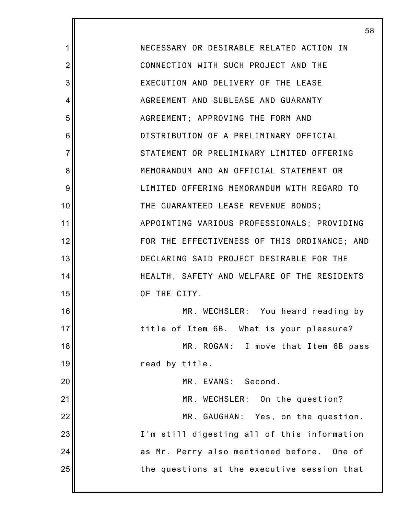1 2 3 4 5 6 7 8 9 10 11 12 13 14 15 16 17 18 19 20 21 22 23 24 25 58 NECESSARY OR DESIRABLE RELATED ACTION IN CONNECTION WITH SUCH PROJECT AND THE EXECUTION AND DELIVERY OF THE LEASE AGREEMENT AND SUBLEASE AND GUARANTY AGREEMENT; APPROVING THE FORM AND DISTRIBUTION OF A PRELIMINARY OFFICIAL STATEMENT OR PRELIMINARY LIMITED OFFERING MEMORANDUM AND AN OFFICIAL STATEMENT OR LIMITED OFFERING MEMORANDUM WITH REGARD TO THE GUARANTEED LEASE REVENUE BONDS; APPOINTING VARIOUS PROFESSIONALS; PROVIDING FOR THE EFFECTIVENESS OF THIS ORDINANCE; AND DECLARING SAID PROJECT DESIRABLE FOR THE HEALTH, SAFETY AND WELFARE OF THE RESIDENTS OF THE CITY. MR. WECHSLER: You heard reading by title of Item 6B. What is your pleasure? MR. ROGAN: I move that Item 6B pass read by title. MR. EVANS: Second. MR. WECHSLER: On the question? MR. GAUGHAN: Yes, on the question. I'm still digesting all of this information as Mr. Perry also mentioned before. One of the questions at the executive session that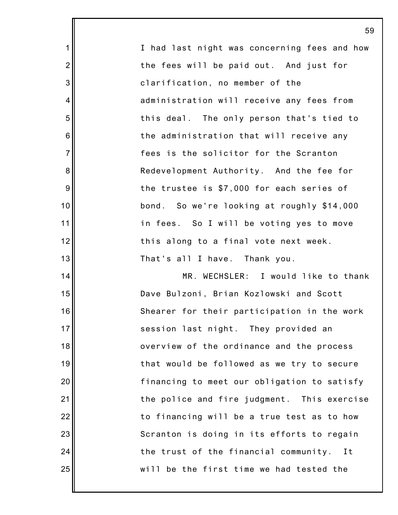|                 | 59                                           |
|-----------------|----------------------------------------------|
| 1               | I had last night was concerning fees and how |
| $\overline{2}$  | the fees will be paid out. And just for      |
| 3               | clarification, no member of the              |
| 4               | administration will receive any fees from    |
| 5               | this deal. The only person that's tied to    |
| $6\phantom{1}6$ | the administration that will receive any     |
| $\overline{7}$  | fees is the solicitor for the Scranton       |
| $\bf 8$         | Redevelopment Authority. And the fee for     |
| $9\,$           | the trustee is \$7,000 for each series of    |
| 10              | bond. So we're looking at roughly \$14,000   |
| 11              | in fees. So I will be voting yes to move     |
| 12              | this along to a final vote next week.        |
| 13              | That's all I have. Thank you.                |
| 14              | MR. WECHSLER: I would like to thank          |
| 15              | Dave Bulzoni, Brian Kozlowski and Scott      |
| 16              | Shearer for their participation in the work  |
| 17              | session last night. They provided an         |
| 18              | overview of the ordinance and the process    |
| 19              | that would be followed as we try to secure   |
| 20              | financing to meet our obligation to satisfy  |
| 21              | the police and fire judgment. This exercise  |
| 22              | to financing will be a true test as to how   |
| 23              | Scranton is doing in its efforts to regain   |
| 24              | the trust of the financial community.<br>I t |
| 25              | will be the first time we had tested the     |
|                 |                                              |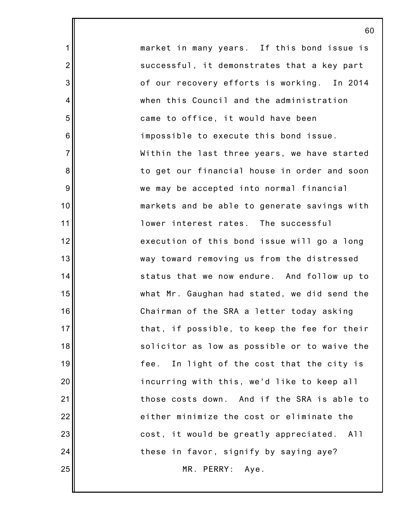market in many years. If this bond issue is successful, it demonstrates that a key part of our recovery efforts is working. In 2014 when this Council and the administration came to office, it would have been impossible to execute this bond issue. Within the last three years, we have started to get our financial house in order and soon we may be accepted into normal financial markets and be able to generate savings with lower interest rates. The successful execution of this bond issue will go a long way toward removing us from the distressed status that we now endure. And follow up to what Mr. Gaughan had stated, we did send the Chairman of the SRA a letter today asking that, if possible, to keep the fee for their solicitor as low as possible or to waive the fee. In light of the cost that the city is incurring with this, we'd like to keep all those costs down. And if the SRA is able to either minimize the cost or eliminate the cost, it would be greatly appreciated. All these in favor, signify by saying aye? MR. PERRY: Aye.

60

1

2

3

4

5

6

7

8

9

10

11

12

13

14

15

16

17

18

19

20

21

22

23

24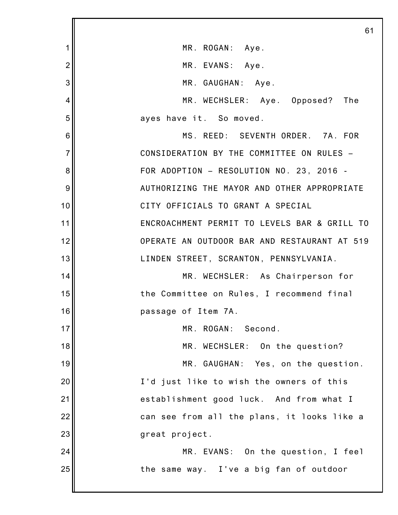|                | 61                                           |
|----------------|----------------------------------------------|
| 1              | MR. ROGAN: Aye.                              |
| $\overline{2}$ | MR. EVANS: Aye.                              |
| 3              | MR. GAUGHAN: Aye.                            |
| 4              | MR. WECHSLER: Aye. Opposed? The              |
| 5              | ayes have it. So moved.                      |
| 6              | MS. REED: SEVENTH ORDER. 7A. FOR             |
| $\overline{7}$ | CONSIDERATION BY THE COMMITTEE ON RULES -    |
| 8              | FOR ADOPTION - RESOLUTION NO. 23, 2016 -     |
| 9              | AUTHORIZING THE MAYOR AND OTHER APPROPRIATE  |
| 10             | CITY OFFICIALS TO GRANT A SPECIAL            |
| 11             | ENCROACHMENT PERMIT TO LEVELS BAR & GRILL TO |
| 12             | OPERATE AN OUTDOOR BAR AND RESTAURANT AT 519 |
| 13             | LINDEN STREET, SCRANTON, PENNSYLVANIA.       |
| 14             | MR. WECHSLER: As Chairperson for             |
| 15             | the Committee on Rules, I recommend final    |
| 16             | passage of Item 7A.                          |
| 17             | MR. ROGAN:<br>Second.                        |
| 18             | MR. WECHSLER: On the question?               |
| 19             | MR. GAUGHAN: Yes, on the question.           |
| 20             | I'd just like to wish the owners of this     |
| 21             | establishment good luck. And from what I     |
| 22             | can see from all the plans, it looks like a  |
| 23             | great project.                               |
| 24             | MR. EVANS: On the question, I feel           |
| 25             | the same way. I've a big fan of outdoor      |
|                |                                              |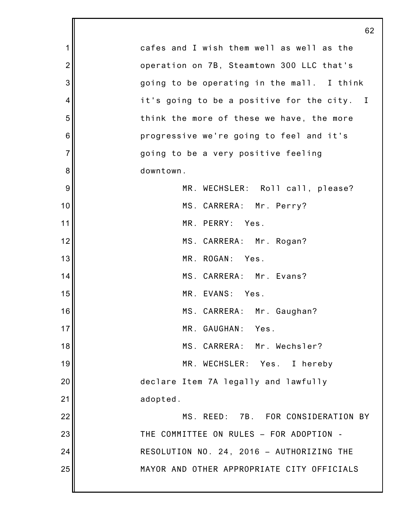|                | 62                                          |
|----------------|---------------------------------------------|
| 1              | cafes and I wish them well as well as the   |
| $\overline{2}$ | operation on 7B, Steamtown 300 LLC that's   |
| 3              | going to be operating in the mall. I think  |
| 4              | it's going to be a positive for the city. I |
| 5              | think the more of these we have, the more   |
| 6              | progressive we're going to feel and it's    |
| $\overline{7}$ | going to be a very positive feeling         |
| 8              | downtown.                                   |
| 9              | MR. WECHSLER: Roll call, please?            |
| 10             | MS. CARRERA: Mr. Perry?                     |
| 11             | MR. PERRY: Yes.                             |
| 12             | MS. CARRERA: Mr. Rogan?                     |
| 13             | MR. ROGAN: Yes.                             |
| 14             | MS. CARRERA: Mr. Evans?                     |
| 15             | MR. EVANS: Yes.                             |
| 16             | MS. CARRERA: Mr. Gaughan?                   |
| 17             | MR. GAUGHAN: Yes.                           |
| 18             | MS. CARRERA: Mr. Wechsler?                  |
| 19             | MR. WECHSLER: Yes. I hereby                 |
| 20             | declare Item 7A legally and lawfully        |
| 21             | adopted.                                    |
| 22             | MS. REED: 7B. FOR CONSIDERATION BY          |
| 23             | THE COMMITTEE ON RULES - FOR ADOPTION -     |
| 24             | RESOLUTION NO. 24, 2016 - AUTHORIZING THE   |
| 25             | MAYOR AND OTHER APPROPRIATE CITY OFFICIALS  |
|                |                                             |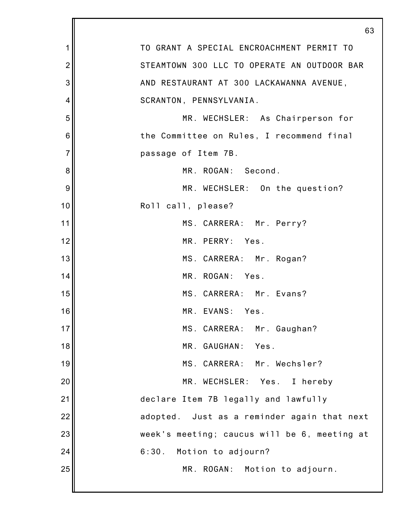|                | 63                                           |
|----------------|----------------------------------------------|
| 1              | TO GRANT A SPECIAL ENCROACHMENT PERMIT TO    |
| $\overline{2}$ | STEAMTOWN 300 LLC TO OPERATE AN OUTDOOR BAR  |
| 3              | AND RESTAURANT AT 300 LACKAWANNA AVENUE,     |
| 4              | SCRANTON, PENNSYLVANIA.                      |
| 5              | MR. WECHSLER: As Chairperson for             |
| 6              | the Committee on Rules, I recommend final    |
| $\overline{7}$ | passage of Item 7B.                          |
| 8              | MR. ROGAN: Second.                           |
| 9              | MR. WECHSLER: On the question?               |
| 10             | Roll call, please?                           |
| 11             | MS. CARRERA: Mr. Perry?                      |
| 12             | MR. PERRY: Yes.                              |
| 13             | MS. CARRERA: Mr. Rogan?                      |
| 14             | MR. ROGAN: Yes.                              |
| 15             | MS. CARRERA: Mr. Evans?                      |
| 16             | MR. EVANS: Yes.                              |
| 17             | MS. CARRERA: Mr. Gaughan?                    |
| 18             | MR. GAUGHAN:<br>Yes.                         |
| 19             | MS. CARRERA: Mr. Wechsler?                   |
| 20             | Yes. I hereby<br>MR. WECHSLER:               |
| 21             | declare Item 7B legally and lawfully         |
| 22             | adopted. Just as a reminder again that next  |
| 23             | week's meeting; caucus will be 6, meeting at |
| 24             | 6:30.<br>Motion to adjourn?                  |
| 25             | MR. ROGAN: Motion to adjourn.                |
|                |                                              |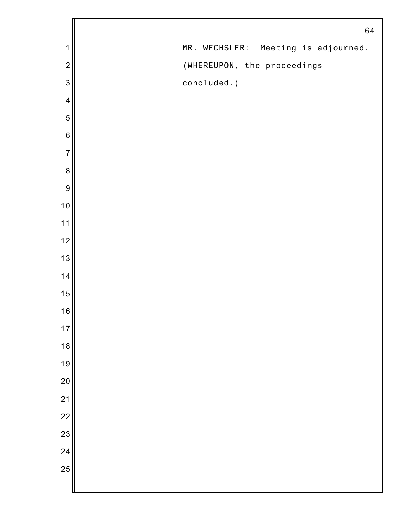|                 | 64                                  |
|-----------------|-------------------------------------|
| 1               | MR. WECHSLER: Meeting is adjourned. |
| $\overline{2}$  | (WHEREUPON, the proceedings         |
| 3               | concluded.)                         |
| $\overline{4}$  |                                     |
| 5               |                                     |
| $\,6$           |                                     |
| $\overline{7}$  |                                     |
| $\bf 8$         |                                     |
| 9               |                                     |
| 10              |                                     |
| 11              |                                     |
| 12              |                                     |
| 13              |                                     |
| 14              |                                     |
| 15              |                                     |
| 16              |                                     |
| 17              |                                     |
| 18              |                                     |
| 19              |                                     |
| 20              |                                     |
| 21              |                                     |
| $\overline{22}$ |                                     |
| 23              |                                     |
| 24              |                                     |
| 25              |                                     |
|                 |                                     |